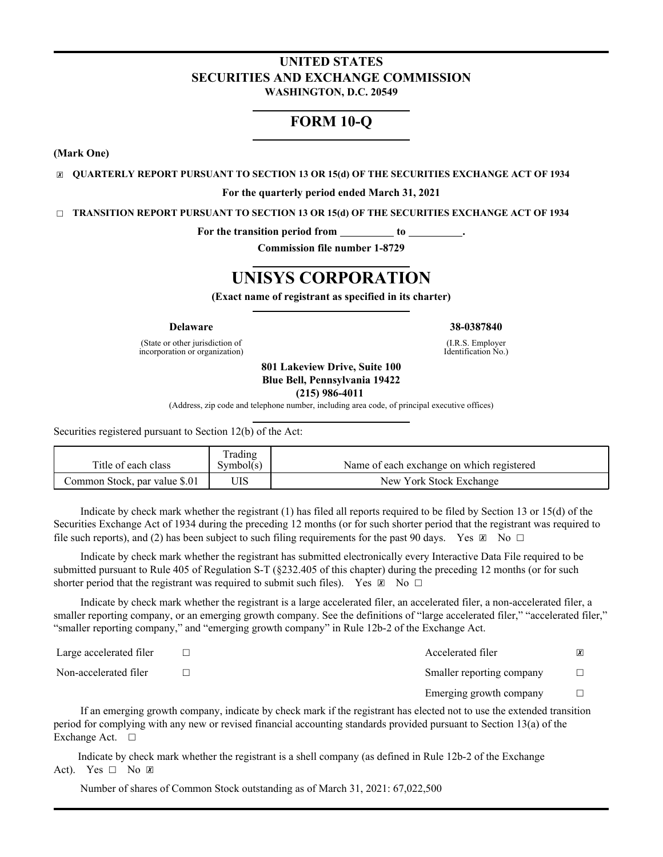### **UNITED STATES SECURITIES AND EXCHANGE COMMISSION WASHINGTON, D.C. 20549**

# **FORM 10-Q**

**(Mark One)**

☒ **QUARTERLY REPORT PURSUANT TO SECTION 13 OR 15(d) OF THE SECURITIES EXCHANGE ACT OF 1934**

**For the quarterly period ended March 31, 2021**

☐ **TRANSITION REPORT PURSUANT TO SECTION 13 OR 15(d) OF THE SECURITIES EXCHANGE ACT OF 1934**

For the transition period from \_\_\_\_\_\_\_\_\_ to .

**Commission file number 1-8729**

# **UNISYS CORPORATION**

**(Exact name of registrant as specified in its charter)**

(State or other jurisdiction of incorporation or organization)

**Delaware 38-0387840**

(I.R.S. Employer Identification No.)

**801 Lakeview Drive, Suite 100 Blue Bell, Pennsylvania 19422 (215) 986-4011**

(Address, zip code and telephone number, including area code, of principal executive offices)

Securities registered pursuant to Section 12(b) of the Act:

| Title of each class           | Trading<br>Symbol(s) | Name of each exchange on which registered |
|-------------------------------|----------------------|-------------------------------------------|
| Common Stock, par value \$.01 | UIS                  | New York Stock Exchange                   |

Indicate by check mark whether the registrant (1) has filed all reports required to be filed by Section 13 or 15(d) of the Securities Exchange Act of 1934 during the preceding 12 months (or for such shorter period that the registrant was required to file such reports), and (2) has been subject to such filing requirements for the past 90 days. Yes  $\boxtimes$  No  $\Box$ 

Indicate by check mark whether the registrant has submitted electronically every Interactive Data File required to be submitted pursuant to Rule 405 of Regulation S-T (§232.405 of this chapter) during the preceding 12 months (or for such shorter period that the registrant was required to submit such files). Yes  $\boxtimes$  No  $\Box$ 

Indicate by check mark whether the registrant is a large accelerated filer, an accelerated filer, a non-accelerated filer, a smaller reporting company, or an emerging growth company. See the definitions of "large accelerated filer," "accelerated filer," "smaller reporting company," and "emerging growth company" in Rule 12b-2 of the Exchange Act.

| Large accelerated filer | Accelerated filer         | $\overline{x}$ |
|-------------------------|---------------------------|----------------|
| Non-accelerated filer   | Smaller reporting company |                |
|                         | Emerging growth company   |                |

If an emerging growth company, indicate by check mark if the registrant has elected not to use the extended transition period for complying with any new or revised financial accounting standards provided pursuant to Section 13(a) of the Exchange Act. □

Indicate by check mark whether the registrant is a shell company (as defined in Rule 12b-2 of the Exchange Act). Yes  $\square$  No  $\square$ 

Number of shares of Common Stock outstanding as of March 31, 2021: 67,022,500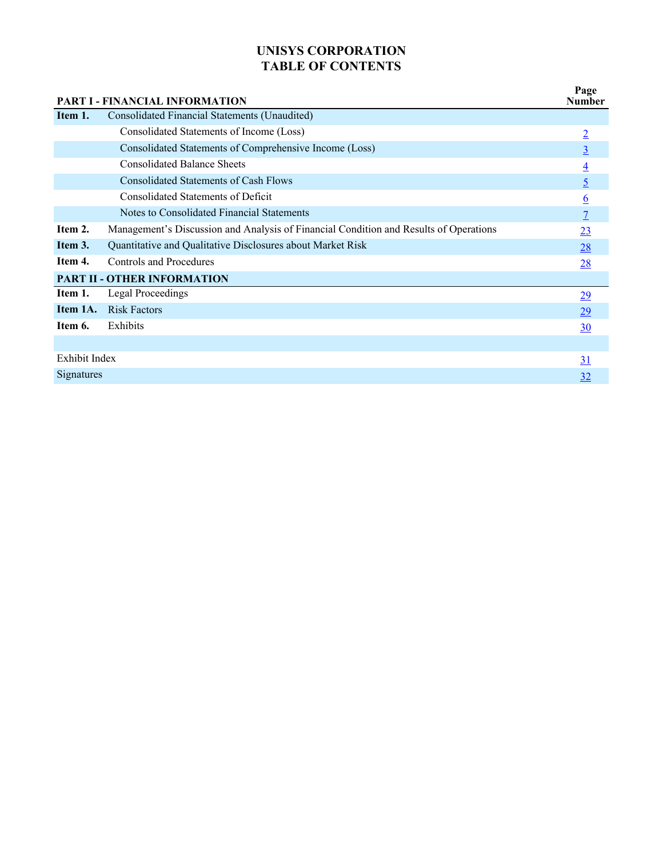# **UNISYS CORPORATION TABLE OF CONTENTS**

|               | <b>PART I - FINANCIAL INFORMATION</b>                                                 | Page<br><b>Number</b> |
|---------------|---------------------------------------------------------------------------------------|-----------------------|
| Item 1.       | Consolidated Financial Statements (Unaudited)                                         |                       |
|               | Consolidated Statements of Income (Loss)                                              | $\overline{2}$        |
|               | Consolidated Statements of Comprehensive Income (Loss)                                | $\overline{3}$        |
|               | <b>Consolidated Balance Sheets</b>                                                    | $\overline{4}$        |
|               | <b>Consolidated Statements of Cash Flows</b>                                          | $\overline{5}$        |
|               | Consolidated Statements of Deficit                                                    | $\underline{6}$       |
|               | Notes to Consolidated Financial Statements                                            | $\overline{1}$        |
| Item 2.       | Management's Discussion and Analysis of Financial Condition and Results of Operations | 23                    |
| Item 3.       | Quantitative and Qualitative Disclosures about Market Risk                            | 28                    |
| Item 4.       | Controls and Procedures                                                               | 28                    |
|               | <b>PART II - OTHER INFORMATION</b>                                                    |                       |
| Item 1.       | <b>Legal Proceedings</b>                                                              | 29                    |
| Item 1A.      | <b>Risk Factors</b>                                                                   | 29                    |
| Item 6.       | Exhibits                                                                              | 30                    |
|               |                                                                                       |                       |
| Exhibit Index |                                                                                       | 31                    |
| Signatures    |                                                                                       | 32                    |
|               |                                                                                       |                       |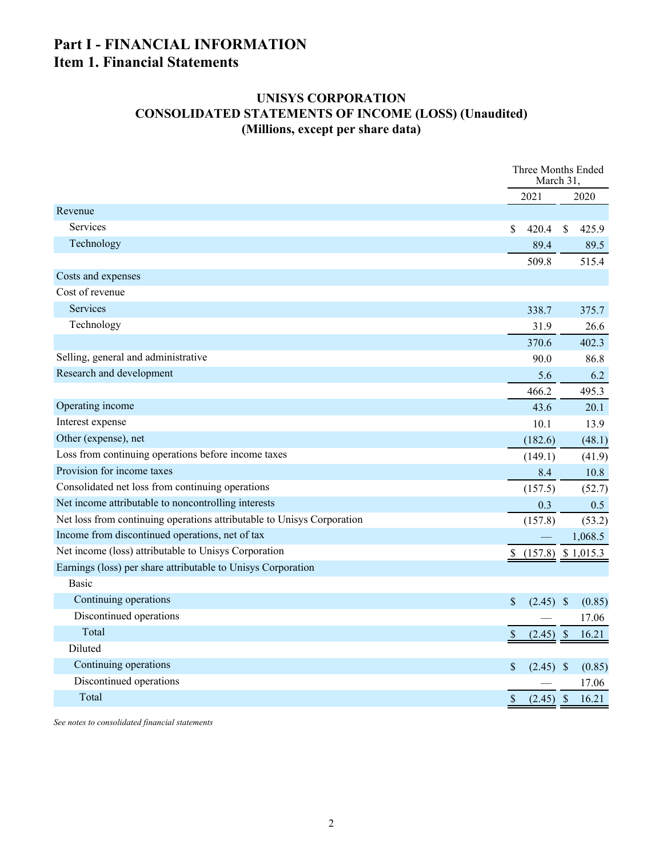# <span id="page-2-0"></span>**Part I - FINANCIAL INFORMATION Item 1. Financial Statements**

# **UNISYS CORPORATION CONSOLIDATED STATEMENTS OF INCOME (LOSS) (Unaudited) (Millions, except per share data)**

|                                                                        |                           | Three Months Ended<br>March 31. |               |           |
|------------------------------------------------------------------------|---------------------------|---------------------------------|---------------|-----------|
|                                                                        |                           | 2021                            |               | 2020      |
| Revenue                                                                |                           |                                 |               |           |
| Services                                                               | \$                        | 420.4                           | \$            | 425.9     |
| Technology                                                             |                           | 89.4                            |               | 89.5      |
|                                                                        |                           | 509.8                           |               | 515.4     |
| Costs and expenses                                                     |                           |                                 |               |           |
| Cost of revenue                                                        |                           |                                 |               |           |
| <b>Services</b>                                                        |                           | 338.7                           |               | 375.7     |
| Technology                                                             |                           | 31.9                            |               | 26.6      |
|                                                                        |                           | 370.6                           |               | 402.3     |
| Selling, general and administrative                                    |                           | 90.0                            |               | 86.8      |
| Research and development                                               |                           | 5.6                             |               | 6.2       |
|                                                                        |                           | 466.2                           |               | 495.3     |
| Operating income                                                       |                           | 43.6                            |               | 20.1      |
| Interest expense                                                       |                           | 10.1                            |               | 13.9      |
| Other (expense), net                                                   |                           | (182.6)                         |               | (48.1)    |
| Loss from continuing operations before income taxes                    |                           | (149.1)                         |               | (41.9)    |
| Provision for income taxes                                             |                           | 8.4                             |               | 10.8      |
| Consolidated net loss from continuing operations                       |                           | (157.5)                         |               | (52.7)    |
| Net income attributable to noncontrolling interests                    |                           | 0.3                             |               | 0.5       |
| Net loss from continuing operations attributable to Unisys Corporation |                           | (157.8)                         |               | (53.2)    |
| Income from discontinued operations, net of tax                        |                           |                                 |               | 1,068.5   |
| Net income (loss) attributable to Unisys Corporation                   |                           | \$ (157.8)                      |               | \$1,015.3 |
| Earnings (loss) per share attributable to Unisys Corporation           |                           |                                 |               |           |
| Basic                                                                  |                           |                                 |               |           |
| Continuing operations                                                  | \$                        | $(2.45)$ \$                     |               | (0.85)    |
| Discontinued operations                                                |                           |                                 |               | 17.06     |
| Total                                                                  | $\boldsymbol{\mathsf{S}}$ | $(2.45)$ \$                     |               | 16.21     |
| Diluted                                                                |                           |                                 |               |           |
| Continuing operations                                                  | \$                        | $(2.45)$ \$                     |               | (0.85)    |
| Discontinued operations                                                |                           |                                 |               | 17.06     |
| Total                                                                  | $\boldsymbol{\mathsf{S}}$ | (2.45)                          | $\mathcal{S}$ | 16.21     |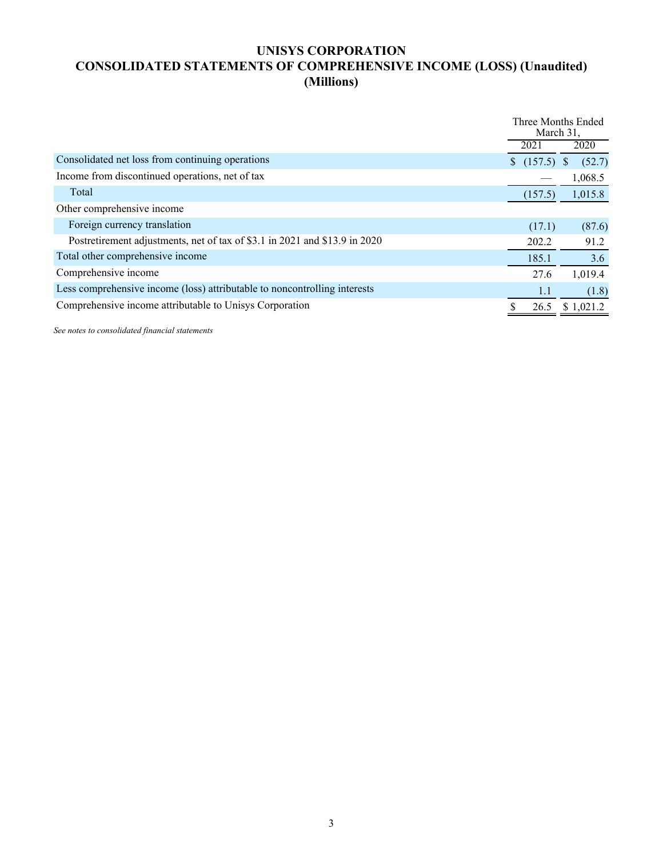# <span id="page-3-0"></span>**UNISYS CORPORATION CONSOLIDATED STATEMENTS OF COMPREHENSIVE INCOME (LOSS) (Unaudited) (Millions)**

|                                                                            | Three Months Ended<br>March 31, |           |
|----------------------------------------------------------------------------|---------------------------------|-----------|
|                                                                            | 2021                            | 2020      |
| Consolidated net loss from continuing operations                           | \$ (157.5) \$                   | (52.7)    |
| Income from discontinued operations, net of tax                            |                                 | 1,068.5   |
| Total                                                                      | (157.5)                         | 1,015.8   |
| Other comprehensive income                                                 |                                 |           |
| Foreign currency translation                                               | (17.1)                          | (87.6)    |
| Postretirement adjustments, net of tax of \$3.1 in 2021 and \$13.9 in 2020 | 202.2                           | 91.2      |
| Total other comprehensive income                                           | 185.1                           | 3.6       |
| Comprehensive income                                                       | 27.6                            | 1,019.4   |
| Less comprehensive income (loss) attributable to noncontrolling interests  | 1.1                             | (1.8)     |
| Comprehensive income attributable to Unisys Corporation                    | 26.5                            | \$1,021.2 |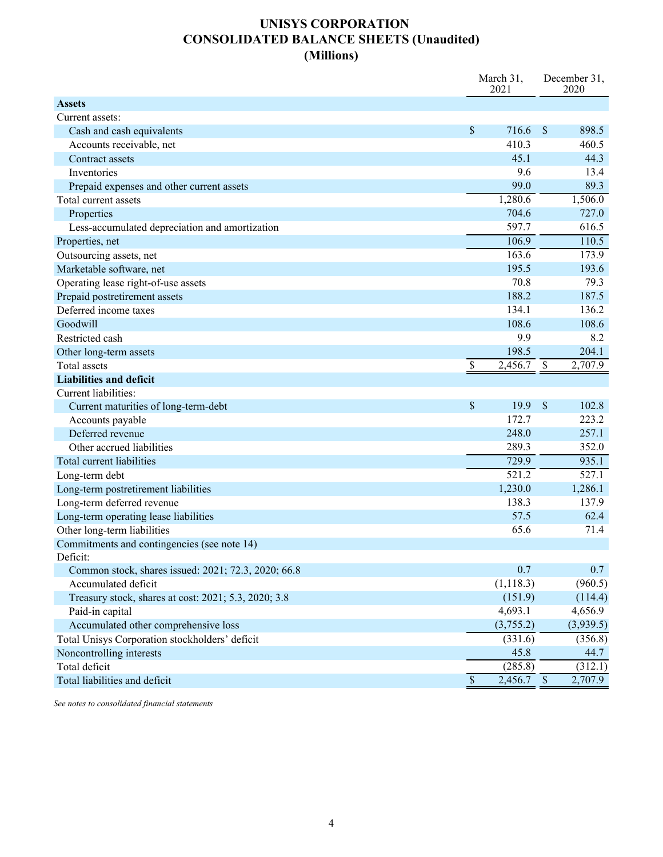# **UNISYS CORPORATION CONSOLIDATED BALANCE SHEETS (Unaudited) (Millions)**

<span id="page-4-0"></span>

|                                                      |                 | March 31,<br>2021 |                           | December 31,<br>2020 |
|------------------------------------------------------|-----------------|-------------------|---------------------------|----------------------|
| <b>Assets</b>                                        |                 |                   |                           |                      |
| Current assets:                                      |                 |                   |                           |                      |
| Cash and cash equivalents                            | \$              | 716.6             | $\mathbb{S}$              | 898.5                |
| Accounts receivable, net                             |                 | 410.3             |                           | 460.5                |
| Contract assets                                      |                 | 45.1              |                           | 44.3                 |
| Inventories                                          |                 | 9.6               |                           | 13.4                 |
| Prepaid expenses and other current assets            |                 | 99.0              |                           | 89.3                 |
| Total current assets                                 |                 | 1,280.6           |                           | 1,506.0              |
| Properties                                           |                 | 704.6             |                           | 727.0                |
| Less-accumulated depreciation and amortization       |                 | 597.7             |                           | 616.5                |
| Properties, net                                      |                 | 106.9             |                           | 110.5                |
| Outsourcing assets, net                              |                 | 163.6             |                           | 173.9                |
| Marketable software, net                             |                 | 195.5             |                           | 193.6                |
| Operating lease right-of-use assets                  |                 | 70.8              |                           | 79.3                 |
| Prepaid postretirement assets                        |                 | 188.2             |                           | 187.5                |
| Deferred income taxes                                |                 | 134.1             |                           | 136.2                |
| Goodwill                                             |                 | 108.6             |                           | 108.6                |
| Restricted cash                                      |                 | 9.9               |                           | 8.2                  |
| Other long-term assets                               |                 | 198.5             |                           | 204.1                |
| <b>Total</b> assets                                  | $\mathcal{S}$   | 2,456.7           | $\boldsymbol{\mathsf{S}}$ | 2,707.9              |
| <b>Liabilities and deficit</b>                       |                 |                   |                           |                      |
| Current liabilities:                                 |                 |                   |                           |                      |
| Current maturities of long-term-debt                 | \$              | 19.9              | $\boldsymbol{\mathsf{S}}$ | 102.8                |
| Accounts payable                                     |                 | 172.7             |                           | 223.2                |
| Deferred revenue                                     |                 | 248.0             |                           | 257.1                |
| Other accrued liabilities                            |                 | 289.3             |                           | 352.0                |
| Total current liabilities                            |                 | 729.9             |                           | 935.1                |
| Long-term debt                                       |                 | 521.2             |                           | 527.1                |
| Long-term postretirement liabilities                 |                 | 1,230.0           |                           | 1,286.1              |
| Long-term deferred revenue                           |                 | 138.3             |                           | 137.9                |
| Long-term operating lease liabilities                |                 | 57.5              |                           | 62.4                 |
| Other long-term liabilities                          |                 | 65.6              |                           | 71.4                 |
| Commitments and contingencies (see note 14)          |                 |                   |                           |                      |
| Deficit:                                             |                 |                   |                           |                      |
| Common stock, shares issued: 2021; 72.3, 2020; 66.8  |                 | 0.7               |                           | 0.7                  |
| Accumulated deficit                                  |                 | (1, 118.3)        |                           | (960.5)              |
| Treasury stock, shares at cost: 2021; 5.3, 2020; 3.8 |                 | (151.9)           |                           | (114.4)              |
| Paid-in capital                                      |                 | 4,693.1           |                           | 4,656.9              |
| Accumulated other comprehensive loss                 |                 | (3,755.2)         |                           | (3,939.5)            |
| Total Unisys Corporation stockholders' deficit       |                 | (331.6)           |                           | (356.8)              |
| Noncontrolling interests                             |                 | 45.8              |                           | 44.7                 |
| Total deficit                                        |                 | (285.8)           |                           | (312.1)              |
| Total liabilities and deficit                        | $\overline{\$}$ | $2,456.7$ \$      |                           | 2,707.9              |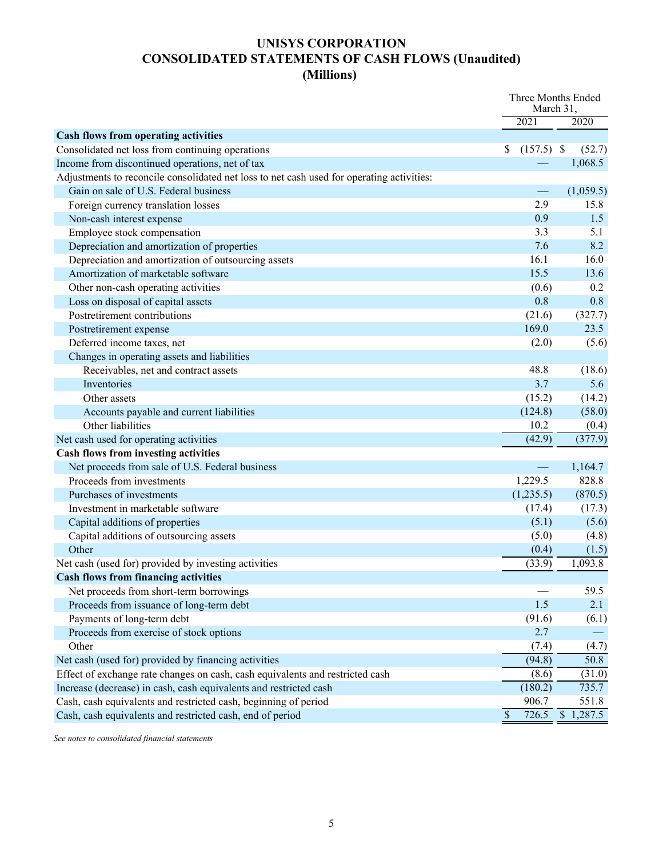# **UNISYS CORPORATION CONSOLIDATED STATEMENTS OF CASH FLOWS (Unaudited) (Millions)**

<span id="page-5-0"></span>

|                                                                                           |                           | Three Months Ended<br>March 31, |                        |
|-------------------------------------------------------------------------------------------|---------------------------|---------------------------------|------------------------|
|                                                                                           |                           | 2021                            | 2020                   |
| <b>Cash flows from operating activities</b>                                               |                           |                                 |                        |
| Consolidated net loss from continuing operations                                          | \$                        | $(157.5)$ \$                    | (52.7)                 |
| Income from discontinued operations, net of tax                                           |                           |                                 | 1,068.5                |
| Adjustments to reconcile consolidated net loss to net cash used for operating activities: |                           |                                 |                        |
| Gain on sale of U.S. Federal business                                                     |                           |                                 | (1,059.5)              |
| Foreign currency translation losses                                                       |                           | 2.9                             | 15.8                   |
| Non-cash interest expense                                                                 |                           | 0.9                             | 1.5                    |
| Employee stock compensation                                                               |                           | 3.3                             | 5.1                    |
| Depreciation and amortization of properties                                               |                           | 7.6                             | 8.2                    |
| Depreciation and amortization of outsourcing assets                                       |                           | 16.1                            | 16.0                   |
| Amortization of marketable software                                                       |                           | 15.5                            | 13.6                   |
| Other non-cash operating activities                                                       |                           | (0.6)                           | 0.2                    |
| Loss on disposal of capital assets                                                        |                           | 0.8                             | 0.8                    |
| Postretirement contributions                                                              |                           | (21.6)                          | (327.7)                |
| Postretirement expense                                                                    |                           | 169.0                           | 23.5                   |
| Deferred income taxes, net                                                                |                           | (2.0)                           | (5.6)                  |
| Changes in operating assets and liabilities                                               |                           |                                 |                        |
| Receivables, net and contract assets                                                      |                           | 48.8                            | (18.6)                 |
| Inventories                                                                               |                           | 3.7                             | 5.6                    |
| Other assets                                                                              |                           | (15.2)                          | (14.2)                 |
| Accounts payable and current liabilities                                                  |                           | (124.8)                         | (58.0)                 |
| Other liabilities                                                                         |                           | 10.2                            | (0.4)                  |
| Net cash used for operating activities                                                    |                           | (42.9)                          | (377.9)                |
| Cash flows from investing activities                                                      |                           |                                 |                        |
| Net proceeds from sale of U.S. Federal business                                           |                           |                                 | 1,164.7                |
| Proceeds from investments                                                                 |                           | 1,229.5                         | 828.8                  |
| Purchases of investments                                                                  |                           | (1,235.5)                       | (870.5)                |
| Investment in marketable software                                                         |                           | (17.4)                          | (17.3)                 |
| Capital additions of properties                                                           |                           | (5.1)                           | (5.6)                  |
| Capital additions of outsourcing assets                                                   |                           | (5.0)                           | (4.8)                  |
| Other                                                                                     |                           | (0.4)                           | (1.5)                  |
| Net cash (used for) provided by investing activities                                      |                           | (33.9)                          | 1,093.8                |
| <b>Cash flows from financing activities</b>                                               |                           |                                 |                        |
| Net proceeds from short-term borrowings                                                   |                           |                                 | 59.5                   |
| Proceeds from issuance of long-term debt                                                  |                           | 1.5                             | 2.1                    |
| Payments of long-term debt                                                                |                           | (91.6)                          | (6.1)                  |
| Proceeds from exercise of stock options                                                   |                           | 2.7                             |                        |
| Other                                                                                     |                           | (7.4)                           | (4.7)                  |
| Net cash (used for) provided by financing activities                                      |                           | (94.8)                          | 50.8                   |
| Effect of exchange rate changes on cash, cash equivalents and restricted cash             |                           | (8.6)                           | (31.0)                 |
| Increase (decrease) in cash, cash equivalents and restricted cash                         |                           | (180.2)                         | 735.7                  |
| Cash, cash equivalents and restricted cash, beginning of period                           |                           | 906.7                           | 551.8                  |
| Cash, cash equivalents and restricted cash, end of period                                 | $\boldsymbol{\mathsf{S}}$ | 726.5                           | $\overline{3}$ 1,287.5 |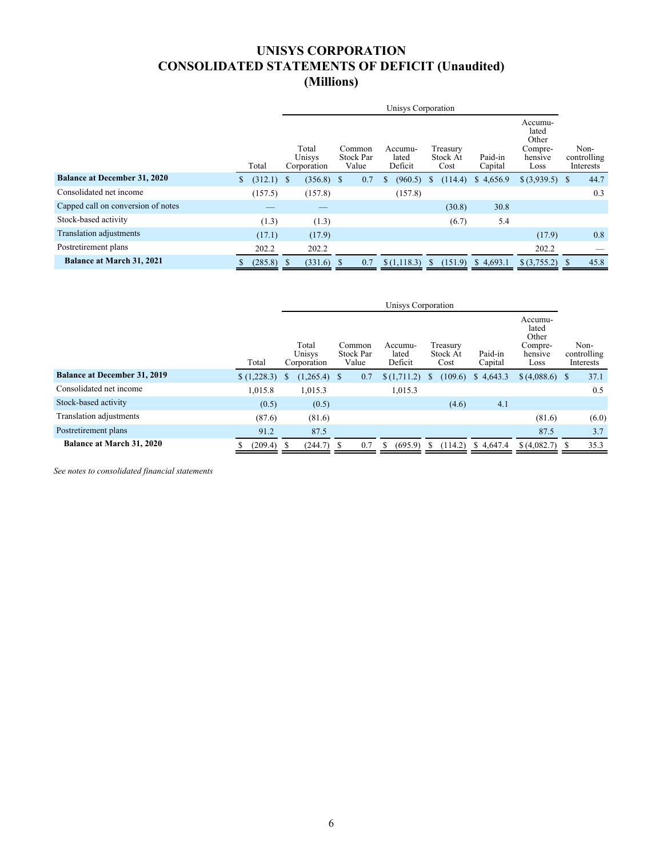# **UNISYS CORPORATION CONSOLIDATED STATEMENTS OF DEFICIT (Unaudited) (Millions)**

<span id="page-6-0"></span>

|                                     |    |         | Unisys Corporation |                                |  |                                     |  |                             |   |                              |                    |      |                                                         |                                  |
|-------------------------------------|----|---------|--------------------|--------------------------------|--|-------------------------------------|--|-----------------------------|---|------------------------------|--------------------|------|---------------------------------------------------------|----------------------------------|
|                                     |    | Total   |                    | Total<br>Unisys<br>Corporation |  | Common<br><b>Stock Par</b><br>Value |  | Accumu-<br>lated<br>Deficit |   | Treasury<br>Stock At<br>Cost | Paid-in<br>Capital |      | Accumu-<br>lated<br>Other<br>Compre-<br>hensive<br>Loss | Non-<br>controlling<br>Interests |
| <b>Balance at December 31, 2020</b> | S. | (312.1) | S                  | $(356.8)$ \$                   |  | 0.7                                 |  | (960.5)                     | S | (114.4)                      | \$4,656.9          |      | $$ (3,939.5) \$                                         | 44.7                             |
| Consolidated net income             |    | (157.5) |                    | (157.8)                        |  |                                     |  | (157.8)                     |   |                              |                    |      |                                                         | 0.3                              |
| Capped call on conversion of notes  |    |         |                    |                                |  |                                     |  |                             |   | (30.8)                       |                    | 30.8 |                                                         |                                  |
| Stock-based activity                |    | (1.3)   |                    | (1.3)                          |  |                                     |  |                             |   | (6.7)                        |                    | 5.4  |                                                         |                                  |
| Translation adjustments             |    | (17.1)  |                    | (17.9)                         |  |                                     |  |                             |   |                              |                    |      | (17.9)                                                  | 0.8                              |
| Postretirement plans                |    | 202.2   |                    | 202.2                          |  |                                     |  |                             |   |                              |                    |      | 202.2                                                   |                                  |
| <b>Balance at March 31, 2021</b>    |    | (285.8) |                    | (331.6)                        |  | 0.7                                 |  | \$(1,118.3)                 |   | (151.9)                      | \$4,693.1          |      | \$ (3,755.2)                                            | 45.8                             |

|                                     |           |   | Unisys Corporation             |                                     |  |                             |  |                              |                    |                                                         |  |                                  |
|-------------------------------------|-----------|---|--------------------------------|-------------------------------------|--|-----------------------------|--|------------------------------|--------------------|---------------------------------------------------------|--|----------------------------------|
|                                     | Total     |   | Total<br>Unisys<br>Corporation | Common<br><b>Stock Par</b><br>Value |  | Accumu-<br>lated<br>Deficit |  | Treasury<br>Stock At<br>Cost | Paid-in<br>Capital | Accumu-<br>lated<br>Other<br>Compre-<br>hensive<br>Loss |  | Non-<br>controlling<br>Interests |
| <b>Balance at December 31, 2019</b> | (1,228.3) | S | $(1,265.4)$ \$                 | 0.7                                 |  | \$(1,711.2)                 |  | (109.6)                      | \$4,643.3          | $$(4,088.6)$ \;                                         |  | 37.1                             |
| Consolidated net income             | 1,015.8   |   | 1,015.3                        |                                     |  | 1,015.3                     |  |                              |                    |                                                         |  | 0.5                              |
| Stock-based activity                | (0.5)     |   | (0.5)                          |                                     |  |                             |  | (4.6)                        | 4.1                |                                                         |  |                                  |
| Translation adjustments             | (87.6)    |   | (81.6)                         |                                     |  |                             |  |                              |                    | (81.6)                                                  |  | (6.0)                            |
| Postretirement plans                | 91.2      |   | 87.5                           |                                     |  |                             |  |                              |                    | 87.5                                                    |  | 3.7                              |
| Balance at March 31, 2020           | (209.4)   |   | $(244.7)$ \$                   | 0.7                                 |  | (695.9)<br>ъ                |  | (114.2)                      | \$4,647.4          | \$(4,082.7)                                             |  | 35.3                             |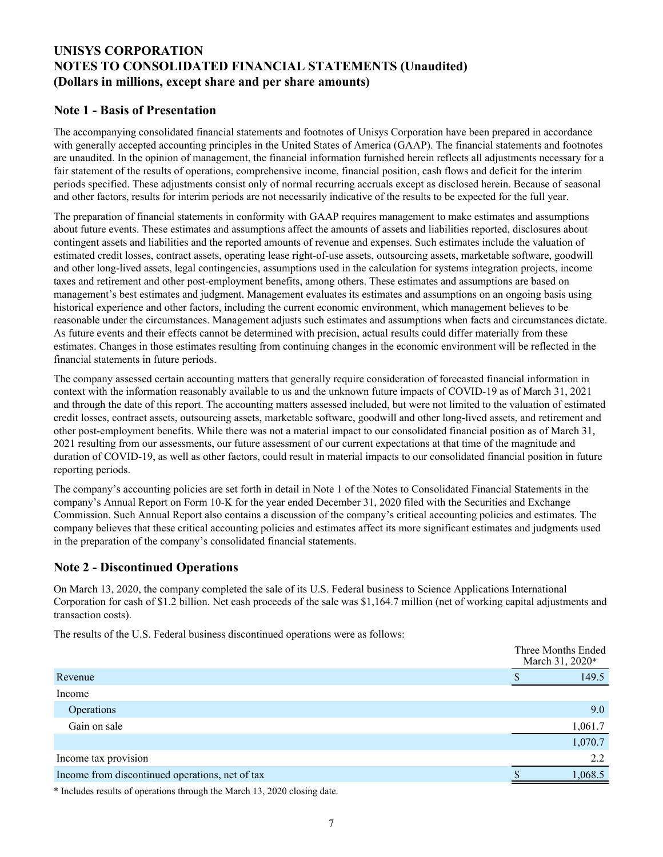# <span id="page-7-0"></span>**UNISYS CORPORATION NOTES TO CONSOLIDATED FINANCIAL STATEMENTS (Unaudited) (Dollars in millions, except share and per share amounts)**

### **Note 1 - Basis of Presentation**

The accompanying consolidated financial statements and footnotes of Unisys Corporation have been prepared in accordance with generally accepted accounting principles in the United States of America (GAAP). The financial statements and footnotes are unaudited. In the opinion of management, the financial information furnished herein reflects all adjustments necessary for a fair statement of the results of operations, comprehensive income, financial position, cash flows and deficit for the interim periods specified. These adjustments consist only of normal recurring accruals except as disclosed herein. Because of seasonal and other factors, results for interim periods are not necessarily indicative of the results to be expected for the full year.

The preparation of financial statements in conformity with GAAP requires management to make estimates and assumptions about future events. These estimates and assumptions affect the amounts of assets and liabilities reported, disclosures about contingent assets and liabilities and the reported amounts of revenue and expenses. Such estimates include the valuation of estimated credit losses, contract assets, operating lease right-of-use assets, outsourcing assets, marketable software, goodwill and other long-lived assets, legal contingencies, assumptions used in the calculation for systems integration projects, income taxes and retirement and other post-employment benefits, among others. These estimates and assumptions are based on management's best estimates and judgment. Management evaluates its estimates and assumptions on an ongoing basis using historical experience and other factors, including the current economic environment, which management believes to be reasonable under the circumstances. Management adjusts such estimates and assumptions when facts and circumstances dictate. As future events and their effects cannot be determined with precision, actual results could differ materially from these estimates. Changes in those estimates resulting from continuing changes in the economic environment will be reflected in the financial statements in future periods.

The company assessed certain accounting matters that generally require consideration of forecasted financial information in context with the information reasonably available to us and the unknown future impacts of COVID-19 as of March 31, 2021 and through the date of this report. The accounting matters assessed included, but were not limited to the valuation of estimated credit losses, contract assets, outsourcing assets, marketable software, goodwill and other long-lived assets, and retirement and other post-employment benefits. While there was not a material impact to our consolidated financial position as of March 31, 2021 resulting from our assessments, our future assessment of our current expectations at that time of the magnitude and duration of COVID-19, as well as other factors, could result in material impacts to our consolidated financial position in future reporting periods.

The company's accounting policies are set forth in detail in Note 1 of the Notes to Consolidated Financial Statements in the company's Annual Report on Form 10-K for the year ended December 31, 2020 filed with the Securities and Exchange Commission. Such Annual Report also contains a discussion of the company's critical accounting policies and estimates. The company believes that these critical accounting policies and estimates affect its more significant estimates and judgments used in the preparation of the company's consolidated financial statements.

# **Note 2 - Discontinued Operations**

On March 13, 2020, the company completed the sale of its U.S. Federal business to Science Applications International Corporation for cash of \$1.2 billion. Net cash proceeds of the sale was \$1,164.7 million (net of working capital adjustments and transaction costs).

The results of the U.S. Federal business discontinued operations were as follows:

| Three Months Ended<br>March 31, 2020* |
|---------------------------------------|
| 149.5                                 |
|                                       |
| 9.0                                   |
| 1,061.7                               |
| 1,070.7                               |
| 2.2                                   |
| 1,068.5                               |
|                                       |

\* Includes results of operations through the March 13, 2020 closing date.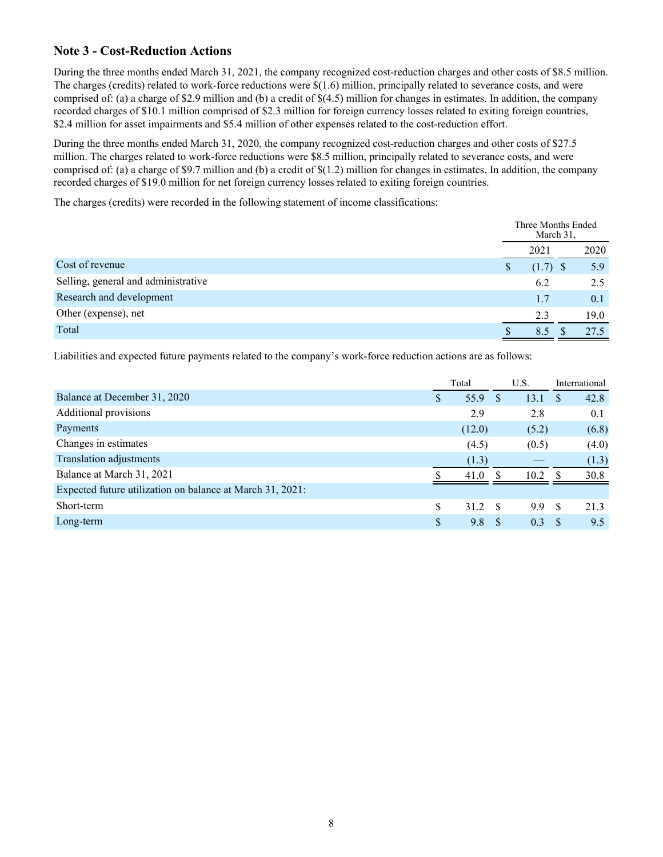### **Note 3 - Cost-Reduction Actions**

During the three months ended March 31, 2021, the company recognized cost-reduction charges and other costs of \$8.5 million. The charges (credits) related to work-force reductions were \$(1.6) million, principally related to severance costs, and were comprised of: (a) a charge of \$2.9 million and (b) a credit of \$(4.5) million for changes in estimates. In addition, the company recorded charges of \$10.1 million comprised of \$2.3 million for foreign currency losses related to exiting foreign countries, \$2.4 million for asset impairments and \$5.4 million of other expenses related to the cost-reduction effort.

During the three months ended March 31, 2020, the company recognized cost-reduction charges and other costs of \$27.5 million. The charges related to work-force reductions were \$8.5 million, principally related to severance costs, and were comprised of: (a) a charge of \$9.7 million and (b) a credit of \$(1.2) million for changes in estimates. In addition, the company recorded charges of \$19.0 million for net foreign currency losses related to exiting foreign countries.

The charges (credits) were recorded in the following statement of income classifications:

|                                     | Three Months Ended | March 31. |      |
|-------------------------------------|--------------------|-----------|------|
|                                     | 2021               |           | 2020 |
| Cost of revenue                     | (1.7)              | - \$      | 5.9  |
| Selling, general and administrative | 6.2                |           | 2.5  |
| Research and development            | 1.7                |           | 0.1  |
| Other (expense), net                | 2.3                |           | 19.0 |
| Total                               | 8.5                |           | 27.5 |

Liabilities and expected future payments related to the company's work-force reduction actions are as follows:

|                                                           |    | Total  |     | U.S.  |    | International |
|-----------------------------------------------------------|----|--------|-----|-------|----|---------------|
| Balance at December 31, 2020                              | S  | 55.9   | S   | 13.1  | S  | 42.8          |
| Additional provisions                                     |    | 2.9    |     | 2.8   |    | 0.1           |
| Payments                                                  |    | (12.0) |     | (5.2) |    | (6.8)         |
| Changes in estimates                                      |    | (4.5)  |     | (0.5) |    | (4.0)         |
| Translation adjustments                                   |    | (1.3)  |     |       |    | (1.3)         |
| Balance at March 31, 2021                                 |    | 41.0   |     | 10.2  |    | 30.8          |
| Expected future utilization on balance at March 31, 2021: |    |        |     |       |    |               |
| Short-term                                                | \$ | 31.2   | - S | 9.9   | -S | 21.3          |
| Long-term                                                 | S  | 9.8    | -S  | 0.3   |    | 9.5           |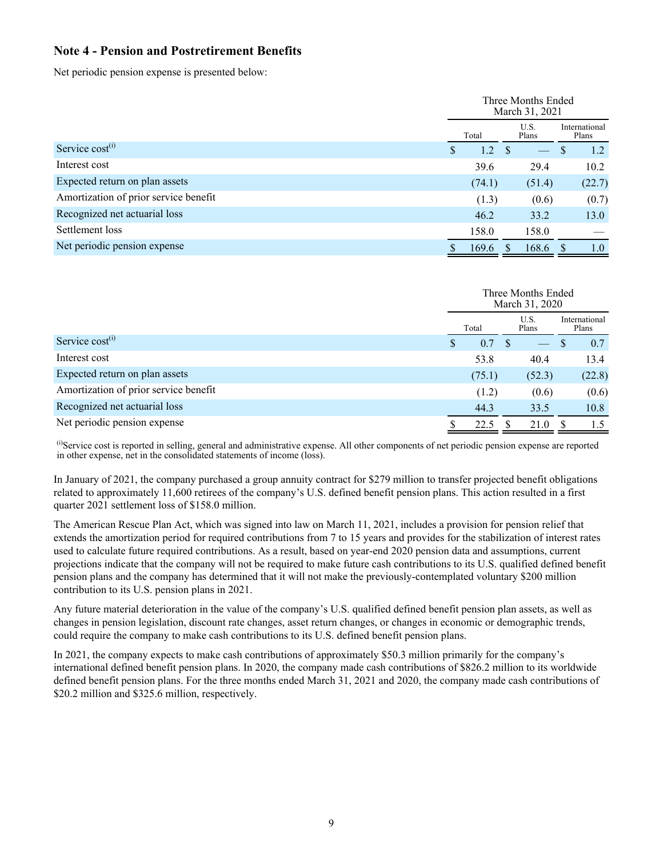### **Note 4 - Pension and Postretirement Benefits**

Net periodic pension expense is presented below:

|                                       | Three Months Ended<br>March 31, 2021 |        |      |               |                        |        |
|---------------------------------------|--------------------------------------|--------|------|---------------|------------------------|--------|
|                                       | Total                                |        |      | U.S.<br>Plans | International<br>Plans |        |
| Service $cost^{(i)}$                  | S.                                   | 1.2    | - \$ |               | <sup>S</sup>           | 1.2    |
| Interest cost                         |                                      | 39.6   |      | 29.4          |                        | 10.2   |
| Expected return on plan assets        |                                      | (74.1) |      | (51.4)        |                        | (22.7) |
| Amortization of prior service benefit |                                      | (1.3)  |      | (0.6)         |                        | (0.7)  |
| Recognized net actuarial loss         |                                      | 46.2   |      | 33.2          |                        | 13.0   |
| Settlement loss                       |                                      | 158.0  |      | 158.0         |                        |        |
| Net periodic pension expense          |                                      | 169.6  |      | 168.6         |                        | 1.0    |

|                                       | Three Months Ended<br>March 31, 2020 |        |               |                               |    |                        |
|---------------------------------------|--------------------------------------|--------|---------------|-------------------------------|----|------------------------|
|                                       |                                      | Total  | U.S.<br>Plans |                               |    | International<br>Plans |
| Service cost <sup>(i)</sup>           | S                                    | 0.7    | S             | $\overbrace{\phantom{13333}}$ | -S | 0.7                    |
| Interest cost                         |                                      | 53.8   |               | 40.4                          |    | 13.4                   |
| Expected return on plan assets        |                                      | (75.1) |               | (52.3)                        |    | (22.8)                 |
| Amortization of prior service benefit |                                      | (1.2)  |               | (0.6)                         |    | (0.6)                  |
| Recognized net actuarial loss         |                                      | 44.3   |               | 33.5                          |    | 10.8                   |
| Net periodic pension expense          |                                      | 22.5   |               | 21.0                          |    | 1.5                    |

 $^{(i)}$ Service cost is reported in selling, general and administrative expense. All other components of net periodic pension expense are reported in other expense, net in the consolidated statements of income (loss).

In January of 2021, the company purchased a group annuity contract for \$279 million to transfer projected benefit obligations related to approximately 11,600 retirees of the company's U.S. defined benefit pension plans. This action resulted in a first quarter 2021 settlement loss of \$158.0 million.

The American Rescue Plan Act, which was signed into law on March 11, 2021, includes a provision for pension relief that extends the amortization period for required contributions from 7 to 15 years and provides for the stabilization of interest rates used to calculate future required contributions. As a result, based on year-end 2020 pension data and assumptions, current projections indicate that the company will not be required to make future cash contributions to its U.S. qualified defined benefit pension plans and the company has determined that it will not make the previously-contemplated voluntary \$200 million contribution to its U.S. pension plans in 2021.

Any future material deterioration in the value of the company's U.S. qualified defined benefit pension plan assets, as well as changes in pension legislation, discount rate changes, asset return changes, or changes in economic or demographic trends, could require the company to make cash contributions to its U.S. defined benefit pension plans.

In 2021, the company expects to make cash contributions of approximately \$50.3 million primarily for the company's international defined benefit pension plans. In 2020, the company made cash contributions of \$826.2 million to its worldwide defined benefit pension plans. For the three months ended March 31, 2021 and 2020, the company made cash contributions of \$20.2 million and \$325.6 million, respectively.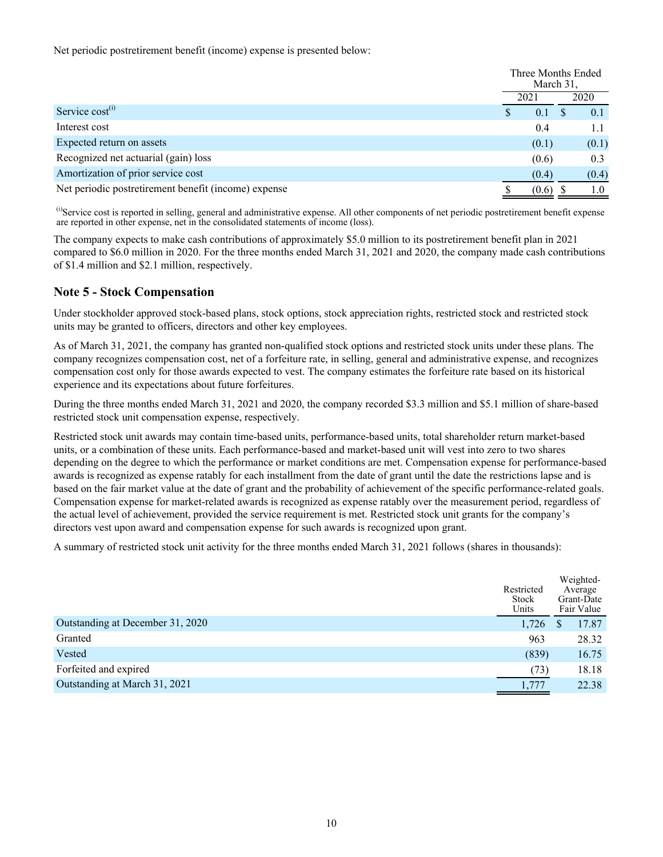Net periodic postretirement benefit (income) expense is presented below:

|                                                      |       | Three Months Ended<br>March 31, |  |
|------------------------------------------------------|-------|---------------------------------|--|
|                                                      | 2021  | 2020                            |  |
| Service cost <sup>(i)</sup>                          | 0.1   | 0.1                             |  |
| Interest cost                                        | 0.4   |                                 |  |
| Expected return on assets                            | (0.1) | (0.1)                           |  |
| Recognized net actuarial (gain) loss                 | (0.6) | 0.3                             |  |
| Amortization of prior service cost                   | (0.4) | (0.4)                           |  |
| Net periodic postretirement benefit (income) expense | (0.6) | 1.0                             |  |

(i)Service cost is reported in selling, general and administrative expense. All other components of net periodic postretirement benefit expense are reported in other expense, net in the consolidated statements of income (loss).

The company expects to make cash contributions of approximately \$5.0 million to its postretirement benefit plan in 2021 compared to \$6.0 million in 2020. For the three months ended March 31, 2021 and 2020, the company made cash contributions of \$1.4 million and \$2.1 million, respectively.

### **Note 5 - Stock Compensation**

Under stockholder approved stock-based plans, stock options, stock appreciation rights, restricted stock and restricted stock units may be granted to officers, directors and other key employees.

As of March 31, 2021, the company has granted non-qualified stock options and restricted stock units under these plans. The company recognizes compensation cost, net of a forfeiture rate, in selling, general and administrative expense, and recognizes compensation cost only for those awards expected to vest. The company estimates the forfeiture rate based on its historical experience and its expectations about future forfeitures.

During the three months ended March 31, 2021 and 2020, the company recorded \$3.3 million and \$5.1 million of share-based restricted stock unit compensation expense, respectively.

Restricted stock unit awards may contain time-based units, performance-based units, total shareholder return market-based units, or a combination of these units. Each performance-based and market-based unit will vest into zero to two shares depending on the degree to which the performance or market conditions are met. Compensation expense for performance-based awards is recognized as expense ratably for each installment from the date of grant until the date the restrictions lapse and is based on the fair market value at the date of grant and the probability of achievement of the specific performance-related goals. Compensation expense for market-related awards is recognized as expense ratably over the measurement period, regardless of the actual level of achievement, provided the service requirement is met. Restricted stock unit grants for the company's directors vest upon award and compensation expense for such awards is recognized upon grant.

A summary of restricted stock unit activity for the three months ended March 31, 2021 follows (shares in thousands):

|                                  | Restricted<br><b>Stock</b><br>Units | Weighted-<br>Average<br>Grant-Date<br>Fair Value |
|----------------------------------|-------------------------------------|--------------------------------------------------|
| Outstanding at December 31, 2020 | 1,726                               | 17.87<br>S                                       |
| Granted                          | 963                                 | 28.32                                            |
| Vested                           | (839)                               | 16.75                                            |
| Forfeited and expired            | (73)                                | 18.18                                            |
| Outstanding at March 31, 2021    | 1,777                               | 22.38                                            |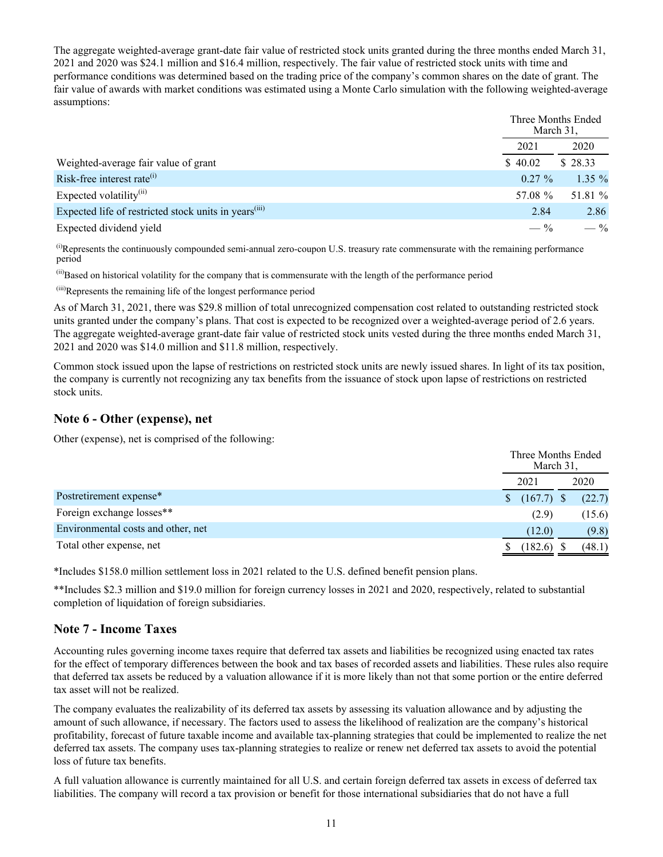The aggregate weighted-average grant-date fair value of restricted stock units granted during the three months ended March 31, 2021 and 2020 was \$24.1 million and \$16.4 million, respectively. The fair value of restricted stock units with time and performance conditions was determined based on the trading price of the company's common shares on the date of grant. The fair value of awards with market conditions was estimated using a Monte Carlo simulation with the following weighted-average assumptions:

|                                                                   | Three Months Ended<br>March 31. |           |
|-------------------------------------------------------------------|---------------------------------|-----------|
|                                                                   | 2021                            | 2020      |
| Weighted-average fair value of grant                              | \$40.02                         | \$28.33   |
| Risk-free interest rate $^{(i)}$                                  | $0.27 \%$                       | $1.35 \%$ |
| Expected volatility <sup>(ii)</sup>                               | 57.08 %                         | 51.81 %   |
| Expected life of restricted stock units in years <sup>(iii)</sup> | 2.84                            | 2.86      |
| Expected dividend yield                                           | $- \frac{9}{6}$                 | $-$ %     |

 $^{(i)}$ Represents the continuously compounded semi-annual zero-coupon U.S. treasury rate commensurate with the remaining performance period

 $^{(ii)}$ Based on historical volatility for the company that is commensurate with the length of the performance period

(iii)Represents the remaining life of the longest performance period

As of March 31, 2021, there was \$29.8 million of total unrecognized compensation cost related to outstanding restricted stock units granted under the company's plans. That cost is expected to be recognized over a weighted-average period of 2.6 years. The aggregate weighted-average grant-date fair value of restricted stock units vested during the three months ended March 31, 2021 and 2020 was \$14.0 million and \$11.8 million, respectively.

Common stock issued upon the lapse of restrictions on restricted stock units are newly issued shares. In light of its tax position, the company is currently not recognizing any tax benefits from the issuance of stock upon lapse of restrictions on restricted stock units.

### **Note 6 - Other (expense), net**

Other (expense), net is comprised of the following:

|                                    |                    | Three Months Ended<br>March 31, |
|------------------------------------|--------------------|---------------------------------|
|                                    | 2021               | 2020                            |
| Postretirement expense*            | $(167.7)$ \$<br>S. | (22.7)                          |
| Foreign exchange losses**          | (2.9)              | (15.6)                          |
| Environmental costs and other, net | (12.0)             | (9.8)                           |
| Total other expense, net           | (182.6)            | (48.1)                          |

\*Includes \$158.0 million settlement loss in 2021 related to the U.S. defined benefit pension plans.

\*\*Includes \$2.3 million and \$19.0 million for foreign currency losses in 2021 and 2020, respectively, related to substantial completion of liquidation of foreign subsidiaries.

### **Note 7 - Income Taxes**

Accounting rules governing income taxes require that deferred tax assets and liabilities be recognized using enacted tax rates for the effect of temporary differences between the book and tax bases of recorded assets and liabilities. These rules also require that deferred tax assets be reduced by a valuation allowance if it is more likely than not that some portion or the entire deferred tax asset will not be realized.

The company evaluates the realizability of its deferred tax assets by assessing its valuation allowance and by adjusting the amount of such allowance, if necessary. The factors used to assess the likelihood of realization are the company's historical profitability, forecast of future taxable income and available tax-planning strategies that could be implemented to realize the net deferred tax assets. The company uses tax-planning strategies to realize or renew net deferred tax assets to avoid the potential loss of future tax benefits.

A full valuation allowance is currently maintained for all U.S. and certain foreign deferred tax assets in excess of deferred tax liabilities. The company will record a tax provision or benefit for those international subsidiaries that do not have a full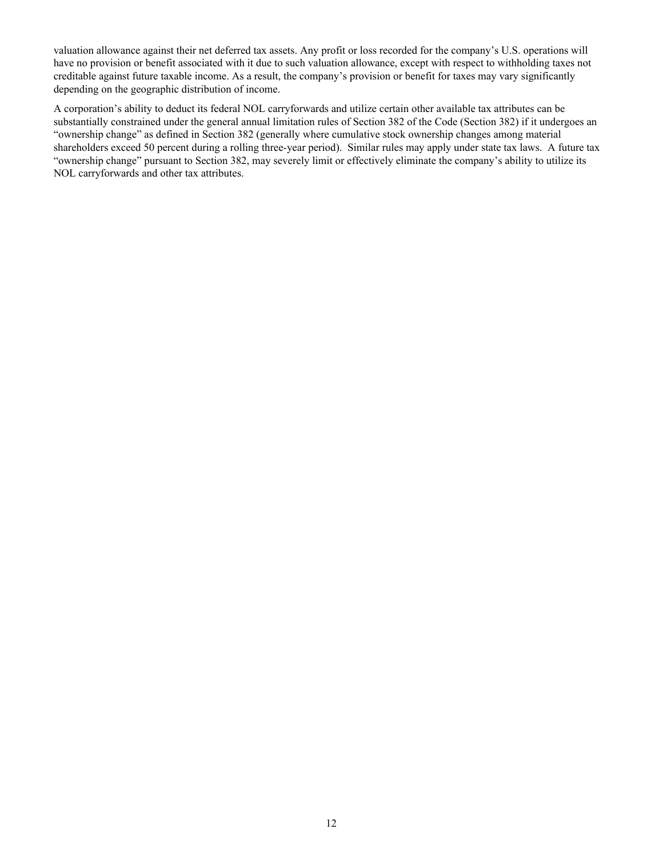valuation allowance against their net deferred tax assets. Any profit or loss recorded for the company's U.S. operations will have no provision or benefit associated with it due to such valuation allowance, except with respect to withholding taxes not creditable against future taxable income. As a result, the company's provision or benefit for taxes may vary significantly depending on the geographic distribution of income.

A corporation's ability to deduct its federal NOL carryforwards and utilize certain other available tax attributes can be substantially constrained under the general annual limitation rules of Section 382 of the Code (Section 382) if it undergoes an "ownership change" as defined in Section 382 (generally where cumulative stock ownership changes among material shareholders exceed 50 percent during a rolling three-year period). Similar rules may apply under state tax laws. A future tax "ownership change" pursuant to Section 382, may severely limit or effectively eliminate the company's ability to utilize its NOL carryforwards and other tax attributes.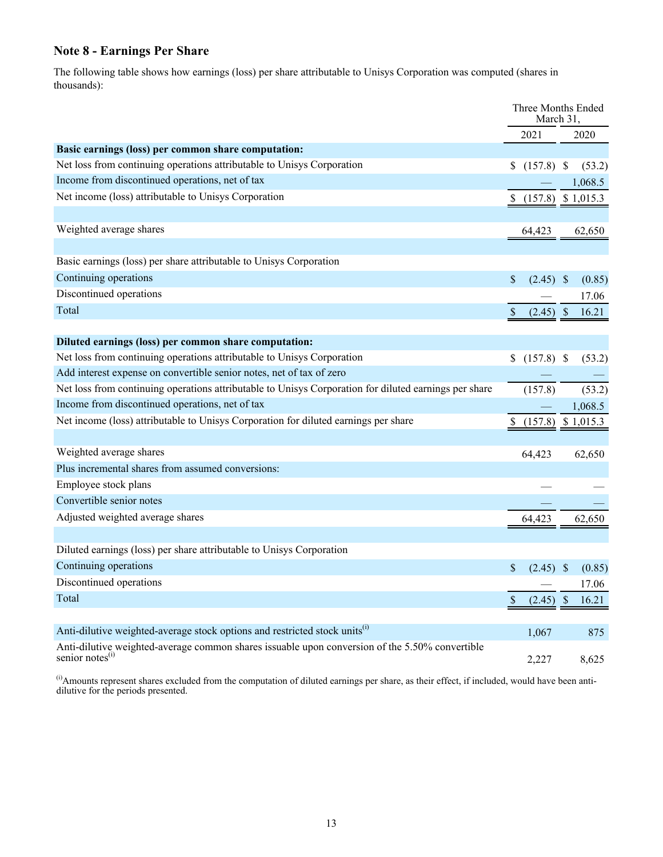# **Note 8 - Earnings Per Share**

The following table shows how earnings (loss) per share attributable to Unisys Corporation was computed (shares in thousands):

|                                                                                                                               |                     | Three Months Ended<br>March 31, |         |
|-------------------------------------------------------------------------------------------------------------------------------|---------------------|---------------------------------|---------|
|                                                                                                                               | 2021                |                                 | 2020    |
| Basic earnings (loss) per common share computation:                                                                           |                     |                                 |         |
| Net loss from continuing operations attributable to Unisys Corporation                                                        |                     |                                 | (53.2)  |
| Income from discontinued operations, net of tax                                                                               |                     |                                 | 1,068.5 |
| Net income (loss) attributable to Unisys Corporation                                                                          | \$(157.8) \$1,015.3 |                                 |         |
|                                                                                                                               |                     |                                 |         |
| Weighted average shares                                                                                                       | 64,423              |                                 | 62,650  |
|                                                                                                                               |                     |                                 |         |
| Basic earnings (loss) per share attributable to Unisys Corporation                                                            |                     |                                 |         |
| Continuing operations                                                                                                         | \$<br>$(2.45)$ \$   |                                 | (0.85)  |
| Discontinued operations                                                                                                       |                     |                                 | 17.06   |
| Total                                                                                                                         | \$<br>$(2.45)$ \$   |                                 | 16.21   |
|                                                                                                                               |                     |                                 |         |
| Diluted earnings (loss) per common share computation:                                                                         |                     |                                 |         |
| Net loss from continuing operations attributable to Unisys Corporation                                                        |                     |                                 | (53.2)  |
| Add interest expense on convertible senior notes, net of tax of zero                                                          |                     |                                 |         |
| Net loss from continuing operations attributable to Unisys Corporation for diluted earnings per share                         | (157.8)             |                                 | (53.2)  |
| Income from discontinued operations, net of tax                                                                               |                     |                                 | 1,068.5 |
| Net income (loss) attributable to Unisys Corporation for diluted earnings per share                                           | \$(157.8) \$1,015.3 |                                 |         |
|                                                                                                                               |                     |                                 |         |
| Weighted average shares                                                                                                       | 64,423              |                                 | 62,650  |
| Plus incremental shares from assumed conversions:                                                                             |                     |                                 |         |
| Employee stock plans                                                                                                          |                     |                                 |         |
| Convertible senior notes                                                                                                      |                     |                                 |         |
| Adjusted weighted average shares                                                                                              | 64.423              |                                 | 62.650  |
|                                                                                                                               |                     |                                 |         |
| Diluted earnings (loss) per share attributable to Unisys Corporation                                                          |                     |                                 |         |
| Continuing operations                                                                                                         | \$<br>$(2.45)$ \$   |                                 | (0.85)  |
| Discontinued operations                                                                                                       |                     |                                 | 17.06   |
| Total                                                                                                                         | \$<br>$(2.45)$ \$   |                                 | 16.21   |
|                                                                                                                               |                     |                                 |         |
| Anti-dilutive weighted-average stock options and restricted stock units <sup>(i)</sup>                                        | 1,067               |                                 | 875     |
| Anti-dilutive weighted-average common shares issuable upon conversion of the 5.50% convertible<br>senior notes <sup>(i)</sup> | 2,227               |                                 | 8,625   |

 $\dot{a}$ ) Amounts represent shares excluded from the computation of diluted earnings per share, as their effect, if included, would have been antidilutive for the periods presented.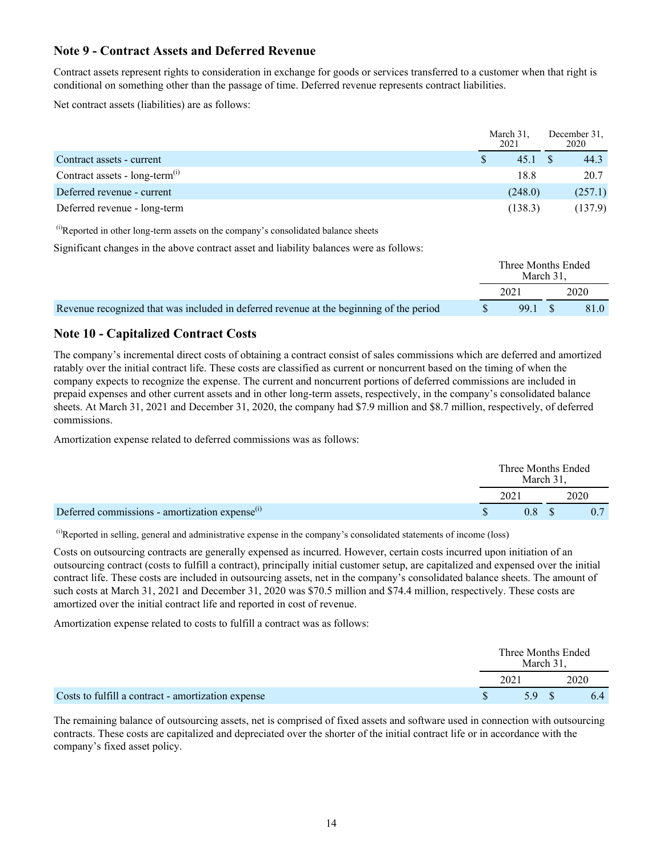### **Note 9 - Contract Assets and Deferred Revenue**

Contract assets represent rights to consideration in exchange for goods or services transferred to a customer when that right is conditional on something other than the passage of time. Deferred revenue represents contract liabilities.

Net contract assets (liabilities) are as follows:

|                                              | March 31.<br>2021 |  | December 31.<br>2020 |
|----------------------------------------------|-------------------|--|----------------------|
| Contract assets - current                    | 45.1              |  | 44.3                 |
| Contract assets - $long-term$ <sup>(1)</sup> | 18.8              |  | 20.7                 |
| Deferred revenue - current                   | (248.0)           |  | (257.1)              |
| Deferred revenue - long-term                 | (138.3)           |  | (137.9)              |

 $<sup>(i)</sup>$ Reported in other long-term assets on the company's consolidated balance sheets</sup>

Significant changes in the above contract asset and liability balances were as follows:

|                                                                                         | Three Months Ended<br>March 31. |      |
|-----------------------------------------------------------------------------------------|---------------------------------|------|
|                                                                                         | 2021                            | 2020 |
| Revenue recognized that was included in deferred revenue at the beginning of the period | 99 1 S                          | 81.0 |

### **Note 10 - Capitalized Contract Costs**

The company's incremental direct costs of obtaining a contract consist of sales commissions which are deferred and amortized ratably over the initial contract life. These costs are classified as current or noncurrent based on the timing of when the company expects to recognize the expense. The current and noncurrent portions of deferred commissions are included in prepaid expenses and other current assets and in other long-term assets, respectively, in the company's consolidated balance sheets. At March 31, 2021 and December 31, 2020, the company had \$7.9 million and \$8.7 million, respectively, of deferred commissions.

Amortization expense related to deferred commissions was as follows:

|                                                            | Three Months Ended<br>March 31, |      |
|------------------------------------------------------------|---------------------------------|------|
|                                                            | 2021                            | 2020 |
| Deferred commissions - amortization expense <sup>(i)</sup> | 0.8 <sup>8</sup>                |      |

 $^{(i)}$ Reported in selling, general and administrative expense in the company's consolidated statements of income (loss)

Costs on outsourcing contracts are generally expensed as incurred. However, certain costs incurred upon initiation of an outsourcing contract (costs to fulfill a contract), principally initial customer setup, are capitalized and expensed over the initial contract life. These costs are included in outsourcing assets, net in the company's consolidated balance sheets. The amount of such costs at March 31, 2021 and December 31, 2020 was \$70.5 million and \$74.4 million, respectively. These costs are amortized over the initial contract life and reported in cost of revenue.

Amortization expense related to costs to fulfill a contract was as follows:

|                                                    | Three Months Ended<br>March 31. |  |      |
|----------------------------------------------------|---------------------------------|--|------|
|                                                    | 2021                            |  | 2020 |
| Costs to fulfill a contract - amortization expense | 59 S                            |  | 6.4  |

The remaining balance of outsourcing assets, net is comprised of fixed assets and software used in connection with outsourcing contracts. These costs are capitalized and depreciated over the shorter of the initial contract life or in accordance with the company's fixed asset policy.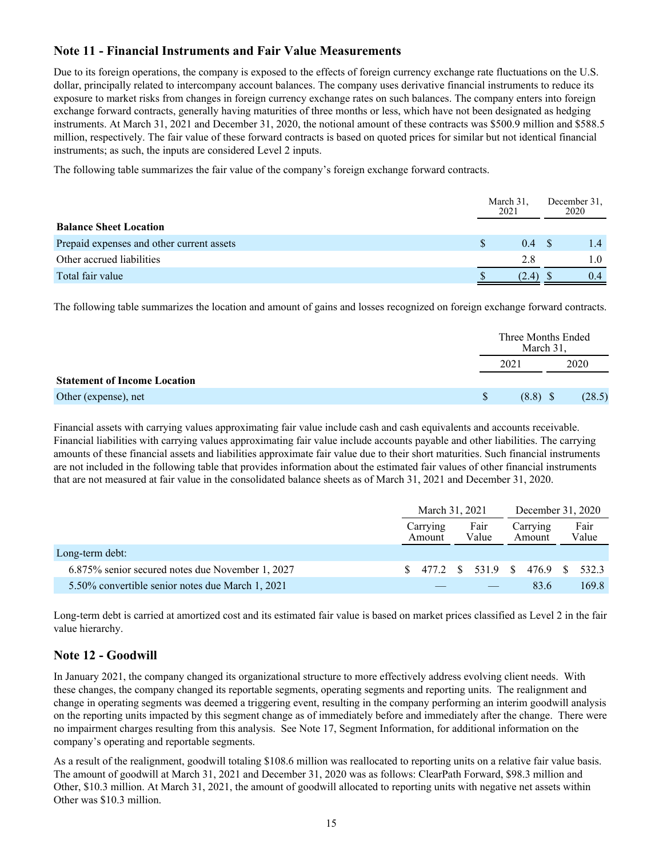### **Note 11 - Financial Instruments and Fair Value Measurements**

Due to its foreign operations, the company is exposed to the effects of foreign currency exchange rate fluctuations on the U.S. dollar, principally related to intercompany account balances. The company uses derivative financial instruments to reduce its exposure to market risks from changes in foreign currency exchange rates on such balances. The company enters into foreign exchange forward contracts, generally having maturities of three months or less, which have not been designated as hedging instruments. At March 31, 2021 and December 31, 2020, the notional amount of these contracts was \$500.9 million and \$588.5 million, respectively. The fair value of these forward contracts is based on quoted prices for similar but not identical financial instruments; as such, the inputs are considered Level 2 inputs.

The following table summarizes the fair value of the company's foreign exchange forward contracts.

|                                           | March 31.<br>2021 |               | December 31,<br>2020 |     |  |
|-------------------------------------------|-------------------|---------------|----------------------|-----|--|
| <b>Balance Sheet Location</b>             |                   |               |                      |     |  |
| Prepaid expenses and other current assets | <sup>\$</sup>     | $0.4^{\circ}$ | $^{\circ}$ S         | 1.4 |  |
| Other accrued liabilities                 |                   | 2.8           |                      | 10  |  |
| Total fair value                          |                   | (2.4)         |                      | 0.4 |  |

The following table summarizes the location and amount of gains and losses recognized on foreign exchange forward contracts.

|                                     |               | Three Months Ended<br>March 31, |        |
|-------------------------------------|---------------|---------------------------------|--------|
|                                     |               | 2021                            |        |
| <b>Statement of Income Location</b> |               |                                 |        |
| Other (expense), net                | <sup>\$</sup> | $(8.8)$ \$                      | (28.5) |

Financial assets with carrying values approximating fair value include cash and cash equivalents and accounts receivable. Financial liabilities with carrying values approximating fair value include accounts payable and other liabilities. The carrying amounts of these financial assets and liabilities approximate fair value due to their short maturities. Such financial instruments are not included in the following table that provides information about the estimated fair values of other financial instruments that are not measured at fair value in the consolidated balance sheets as of March 31, 2021 and December 31, 2020.

|                                                  | March 31, 2021     |  |  |                                                |  | December 31, 2020 |  |       |  |  |  |  |  |  |  |               |  |                    |  |               |
|--------------------------------------------------|--------------------|--|--|------------------------------------------------|--|-------------------|--|-------|--|--|--|--|--|--|--|---------------|--|--------------------|--|---------------|
|                                                  | Carrying<br>Amount |  |  |                                                |  |                   |  |       |  |  |  |  |  |  |  | Fair<br>Value |  | Carrying<br>Amount |  | Fair<br>Value |
| Long-term debt:                                  |                    |  |  |                                                |  |                   |  |       |  |  |  |  |  |  |  |               |  |                    |  |               |
| 6.875% senior secured notes due November 1, 2027 |                    |  |  | $\frac{1}{2}$ 477.2 \$ 531.9 \$ 476.9 \$ 532.3 |  |                   |  |       |  |  |  |  |  |  |  |               |  |                    |  |               |
| 5.50% convertible senior notes due March 1, 2021 |                    |  |  |                                                |  | 83.6              |  | 169.8 |  |  |  |  |  |  |  |               |  |                    |  |               |

Long-term debt is carried at amortized cost and its estimated fair value is based on market prices classified as Level 2 in the fair value hierarchy.

#### **Note 12 - Goodwill**

In January 2021, the company changed its organizational structure to more effectively address evolving client needs. With these changes, the company changed its reportable segments, operating segments and reporting units. The realignment and change in operating segments was deemed a triggering event, resulting in the company performing an interim goodwill analysis on the reporting units impacted by this segment change as of immediately before and immediately after the change. There were no impairment charges resulting from this analysis. See Note 17, Segment Information, for additional information on the company's operating and reportable segments.

As a result of the realignment, goodwill totaling \$108.6 million was reallocated to reporting units on a relative fair value basis. The amount of goodwill at March 31, 2021 and December 31, 2020 was as follows: ClearPath Forward, \$98.3 million and Other, \$10.3 million. At March 31, 2021, the amount of goodwill allocated to reporting units with negative net assets within Other was \$10.3 million.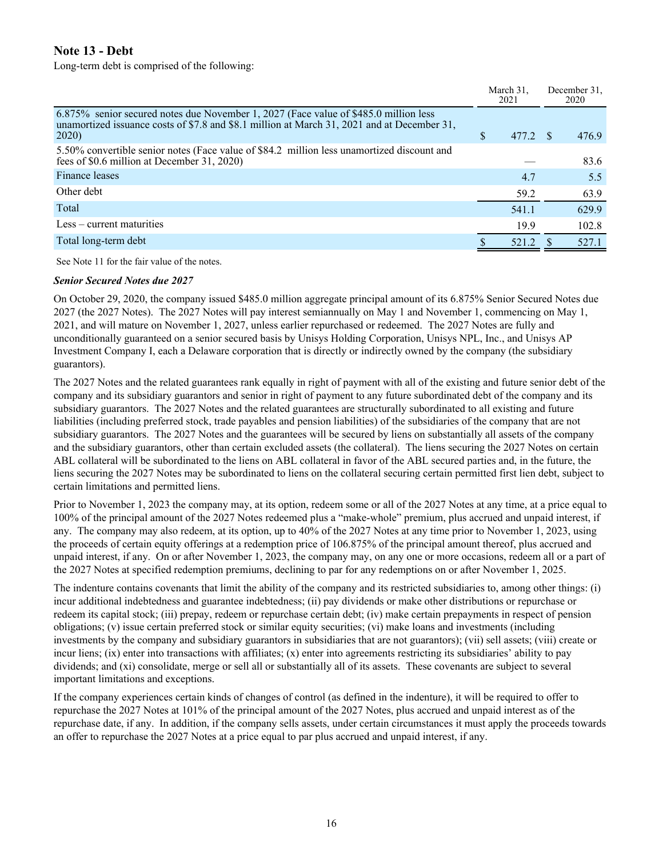### **Note 13 - Debt**

Long-term debt is comprised of the following:

|                                                                                                                                                                                              | March 31.<br>2021 |          | December 31.<br>2020 |
|----------------------------------------------------------------------------------------------------------------------------------------------------------------------------------------------|-------------------|----------|----------------------|
| 6.875% senior secured notes due November 1, 2027 (Face value of \$485.0 million less<br>unamortized issuance costs of \$7.8 and \$8.1 million at March 31, 2021 and at December 31,<br>2020) | \$                | 477.2 \$ | 476.9                |
| 5.50% convertible senior notes (Face value of \$84.2 million less unamortized discount and<br>fees of \$0.6 million at December 31, 2020)                                                    |                   |          | 83.6                 |
| Finance leases                                                                                                                                                                               |                   | 4.7      | 5.5                  |
| Other debt                                                                                                                                                                                   |                   | 59.2     | 63.9                 |
| Total                                                                                                                                                                                        |                   | 541.1    | 629.9                |
| Less – current maturities                                                                                                                                                                    |                   | 19.9     | 102.8                |
| Total long-term debt                                                                                                                                                                         |                   | 521.2    | 527.1                |

See Note 11 for the fair value of the notes.

#### *Senior Secured Notes due 2027*

On October 29, 2020, the company issued \$485.0 million aggregate principal amount of its 6.875% Senior Secured Notes due 2027 (the 2027 Notes). The 2027 Notes will pay interest semiannually on May 1 and November 1, commencing on May 1, 2021, and will mature on November 1, 2027, unless earlier repurchased or redeemed. The 2027 Notes are fully and unconditionally guaranteed on a senior secured basis by Unisys Holding Corporation, Unisys NPL, Inc., and Unisys AP Investment Company I, each a Delaware corporation that is directly or indirectly owned by the company (the subsidiary guarantors).

The 2027 Notes and the related guarantees rank equally in right of payment with all of the existing and future senior debt of the company and its subsidiary guarantors and senior in right of payment to any future subordinated debt of the company and its subsidiary guarantors. The 2027 Notes and the related guarantees are structurally subordinated to all existing and future liabilities (including preferred stock, trade payables and pension liabilities) of the subsidiaries of the company that are not subsidiary guarantors. The 2027 Notes and the guarantees will be secured by liens on substantially all assets of the company and the subsidiary guarantors, other than certain excluded assets (the collateral). The liens securing the 2027 Notes on certain ABL collateral will be subordinated to the liens on ABL collateral in favor of the ABL secured parties and, in the future, the liens securing the 2027 Notes may be subordinated to liens on the collateral securing certain permitted first lien debt, subject to certain limitations and permitted liens.

Prior to November 1, 2023 the company may, at its option, redeem some or all of the 2027 Notes at any time, at a price equal to 100% of the principal amount of the 2027 Notes redeemed plus a "make-whole" premium, plus accrued and unpaid interest, if any. The company may also redeem, at its option, up to 40% of the 2027 Notes at any time prior to November 1, 2023, using the proceeds of certain equity offerings at a redemption price of 106.875% of the principal amount thereof, plus accrued and unpaid interest, if any. On or after November 1, 2023, the company may, on any one or more occasions, redeem all or a part of the 2027 Notes at specified redemption premiums, declining to par for any redemptions on or after November 1, 2025.

The indenture contains covenants that limit the ability of the company and its restricted subsidiaries to, among other things: (i) incur additional indebtedness and guarantee indebtedness; (ii) pay dividends or make other distributions or repurchase or redeem its capital stock; (iii) prepay, redeem or repurchase certain debt; (iv) make certain prepayments in respect of pension obligations; (v) issue certain preferred stock or similar equity securities; (vi) make loans and investments (including investments by the company and subsidiary guarantors in subsidiaries that are not guarantors); (vii) sell assets; (viii) create or incur liens; (ix) enter into transactions with affiliates; (x) enter into agreements restricting its subsidiaries' ability to pay dividends; and (xi) consolidate, merge or sell all or substantially all of its assets. These covenants are subject to several important limitations and exceptions.

If the company experiences certain kinds of changes of control (as defined in the indenture), it will be required to offer to repurchase the 2027 Notes at 101% of the principal amount of the 2027 Notes, plus accrued and unpaid interest as of the repurchase date, if any. In addition, if the company sells assets, under certain circumstances it must apply the proceeds towards an offer to repurchase the 2027 Notes at a price equal to par plus accrued and unpaid interest, if any.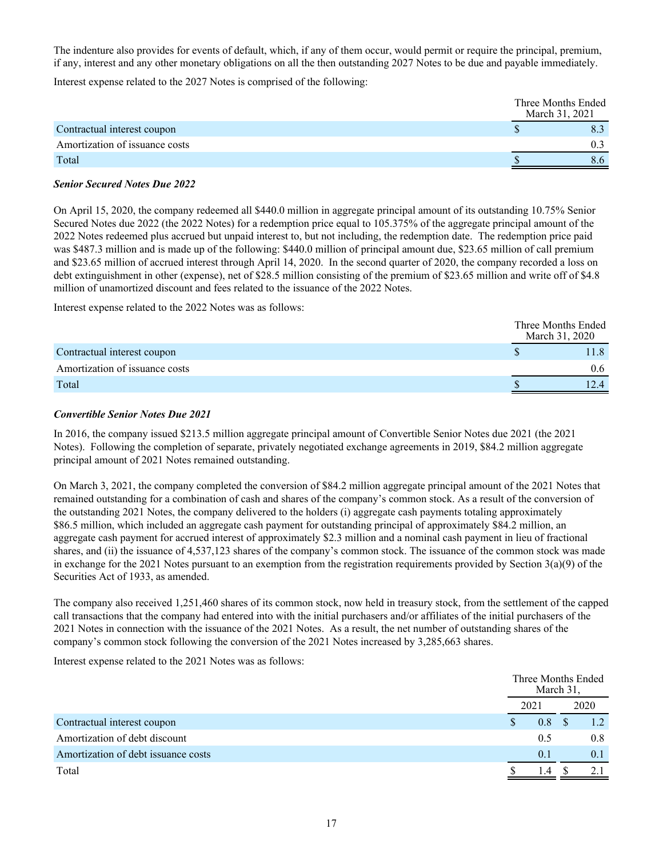The indenture also provides for events of default, which, if any of them occur, would permit or require the principal, premium, if any, interest and any other monetary obligations on all the then outstanding 2027 Notes to be due and payable immediately.

Interest expense related to the 2027 Notes is comprised of the following:

|                                | Three Months Ended<br>March 31, 2021 |  |  |
|--------------------------------|--------------------------------------|--|--|
| Contractual interest coupon    |                                      |  |  |
| Amortization of issuance costs |                                      |  |  |
| Total                          |                                      |  |  |

#### *Senior Secured Notes Due 2022*

On April 15, 2020, the company redeemed all \$440.0 million in aggregate principal amount of its outstanding 10.75% Senior Secured Notes due 2022 (the 2022 Notes) for a redemption price equal to 105.375% of the aggregate principal amount of the 2022 Notes redeemed plus accrued but unpaid interest to, but not including, the redemption date. The redemption price paid was \$487.3 million and is made up of the following: \$440.0 million of principal amount due, \$23.65 million of call premium and \$23.65 million of accrued interest through April 14, 2020. In the second quarter of 2020, the company recorded a loss on debt extinguishment in other (expense), net of \$28.5 million consisting of the premium of \$23.65 million and write off of \$4.8 million of unamortized discount and fees related to the issuance of the 2022 Notes.

Interest expense related to the 2022 Notes was as follows:

|                                | Three Months Ended<br>March 31, 2020 |               |  |  |  |
|--------------------------------|--------------------------------------|---------------|--|--|--|
| Contractual interest coupon    |                                      |               |  |  |  |
| Amortization of issuance costs |                                      | $0.6^{\circ}$ |  |  |  |
| Total                          |                                      |               |  |  |  |

#### *Convertible Senior Notes Due 2021*

In 2016, the company issued \$213.5 million aggregate principal amount of Convertible Senior Notes due 2021 (the 2021 Notes). Following the completion of separate, privately negotiated exchange agreements in 2019, \$84.2 million aggregate principal amount of 2021 Notes remained outstanding.

On March 3, 2021, the company completed the conversion of \$84.2 million aggregate principal amount of the 2021 Notes that remained outstanding for a combination of cash and shares of the company's common stock. As a result of the conversion of the outstanding 2021 Notes, the company delivered to the holders (i) aggregate cash payments totaling approximately \$86.5 million, which included an aggregate cash payment for outstanding principal of approximately \$84.2 million, an aggregate cash payment for accrued interest of approximately \$2.3 million and a nominal cash payment in lieu of fractional shares, and (ii) the issuance of 4,537,123 shares of the company's common stock. The issuance of the common stock was made in exchange for the 2021 Notes pursuant to an exemption from the registration requirements provided by Section 3(a)(9) of the Securities Act of 1933, as amended.

The company also received 1,251,460 shares of its common stock, now held in treasury stock, from the settlement of the capped call transactions that the company had entered into with the initial purchasers and/or affiliates of the initial purchasers of the 2021 Notes in connection with the issuance of the 2021 Notes. As a result, the net number of outstanding shares of the company's common stock following the conversion of the 2021 Notes increased by 3,285,663 shares.

Interest expense related to the 2021 Notes was as follows:

|                                     |      | Three Months Ended<br>March 31, |      |
|-------------------------------------|------|---------------------------------|------|
|                                     | 2021 |                                 | 2020 |
| Contractual interest coupon         |      | 0.8                             |      |
| Amortization of debt discount       |      | 0.5                             | 0.8  |
| Amortization of debt issuance costs |      | 0.1                             | 0.1  |
| Total                               |      | . 4                             |      |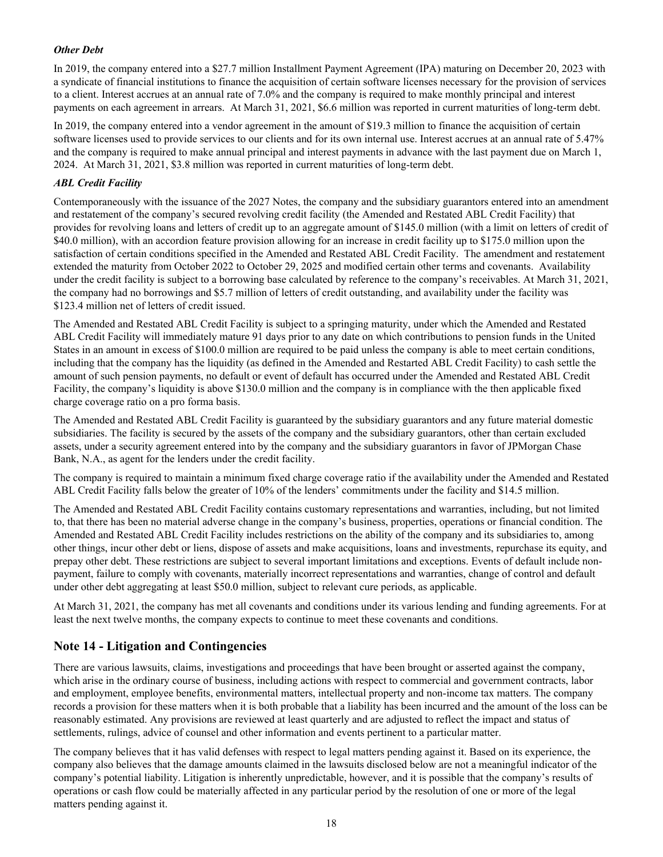#### *Other Debt*

In 2019, the company entered into a \$27.7 million Installment Payment Agreement (IPA) maturing on December 20, 2023 with a syndicate of financial institutions to finance the acquisition of certain software licenses necessary for the provision of services to a client. Interest accrues at an annual rate of 7.0% and the company is required to make monthly principal and interest payments on each agreement in arrears. At March 31, 2021, \$6.6 million was reported in current maturities of long-term debt.

In 2019, the company entered into a vendor agreement in the amount of \$19.3 million to finance the acquisition of certain software licenses used to provide services to our clients and for its own internal use. Interest accrues at an annual rate of 5.47% and the company is required to make annual principal and interest payments in advance with the last payment due on March 1, 2024. At March 31, 2021, \$3.8 million was reported in current maturities of long-term debt.

#### *ABL Credit Facility*

Contemporaneously with the issuance of the 2027 Notes, the company and the subsidiary guarantors entered into an amendment and restatement of the company's secured revolving credit facility (the Amended and Restated ABL Credit Facility) that provides for revolving loans and letters of credit up to an aggregate amount of \$145.0 million (with a limit on letters of credit of \$40.0 million), with an accordion feature provision allowing for an increase in credit facility up to \$175.0 million upon the satisfaction of certain conditions specified in the Amended and Restated ABL Credit Facility. The amendment and restatement extended the maturity from October 2022 to October 29, 2025 and modified certain other terms and covenants. Availability under the credit facility is subject to a borrowing base calculated by reference to the company's receivables. At March 31, 2021, the company had no borrowings and \$5.7 million of letters of credit outstanding, and availability under the facility was \$123.4 million net of letters of credit issued.

The Amended and Restated ABL Credit Facility is subject to a springing maturity, under which the Amended and Restated ABL Credit Facility will immediately mature 91 days prior to any date on which contributions to pension funds in the United States in an amount in excess of \$100.0 million are required to be paid unless the company is able to meet certain conditions, including that the company has the liquidity (as defined in the Amended and Restarted ABL Credit Facility) to cash settle the amount of such pension payments, no default or event of default has occurred under the Amended and Restated ABL Credit Facility, the company's liquidity is above \$130.0 million and the company is in compliance with the then applicable fixed charge coverage ratio on a pro forma basis.

The Amended and Restated ABL Credit Facility is guaranteed by the subsidiary guarantors and any future material domestic subsidiaries. The facility is secured by the assets of the company and the subsidiary guarantors, other than certain excluded assets, under a security agreement entered into by the company and the subsidiary guarantors in favor of JPMorgan Chase Bank, N.A., as agent for the lenders under the credit facility.

The company is required to maintain a minimum fixed charge coverage ratio if the availability under the Amended and Restated ABL Credit Facility falls below the greater of 10% of the lenders' commitments under the facility and \$14.5 million.

The Amended and Restated ABL Credit Facility contains customary representations and warranties, including, but not limited to, that there has been no material adverse change in the company's business, properties, operations or financial condition. The Amended and Restated ABL Credit Facility includes restrictions on the ability of the company and its subsidiaries to, among other things, incur other debt or liens, dispose of assets and make acquisitions, loans and investments, repurchase its equity, and prepay other debt. These restrictions are subject to several important limitations and exceptions. Events of default include nonpayment, failure to comply with covenants, materially incorrect representations and warranties, change of control and default under other debt aggregating at least \$50.0 million, subject to relevant cure periods, as applicable.

At March 31, 2021, the company has met all covenants and conditions under its various lending and funding agreements. For at least the next twelve months, the company expects to continue to meet these covenants and conditions.

#### **Note 14 - Litigation and Contingencies**

There are various lawsuits, claims, investigations and proceedings that have been brought or asserted against the company, which arise in the ordinary course of business, including actions with respect to commercial and government contracts, labor and employment, employee benefits, environmental matters, intellectual property and non-income tax matters. The company records a provision for these matters when it is both probable that a liability has been incurred and the amount of the loss can be reasonably estimated. Any provisions are reviewed at least quarterly and are adjusted to reflect the impact and status of settlements, rulings, advice of counsel and other information and events pertinent to a particular matter.

The company believes that it has valid defenses with respect to legal matters pending against it. Based on its experience, the company also believes that the damage amounts claimed in the lawsuits disclosed below are not a meaningful indicator of the company's potential liability. Litigation is inherently unpredictable, however, and it is possible that the company's results of operations or cash flow could be materially affected in any particular period by the resolution of one or more of the legal matters pending against it.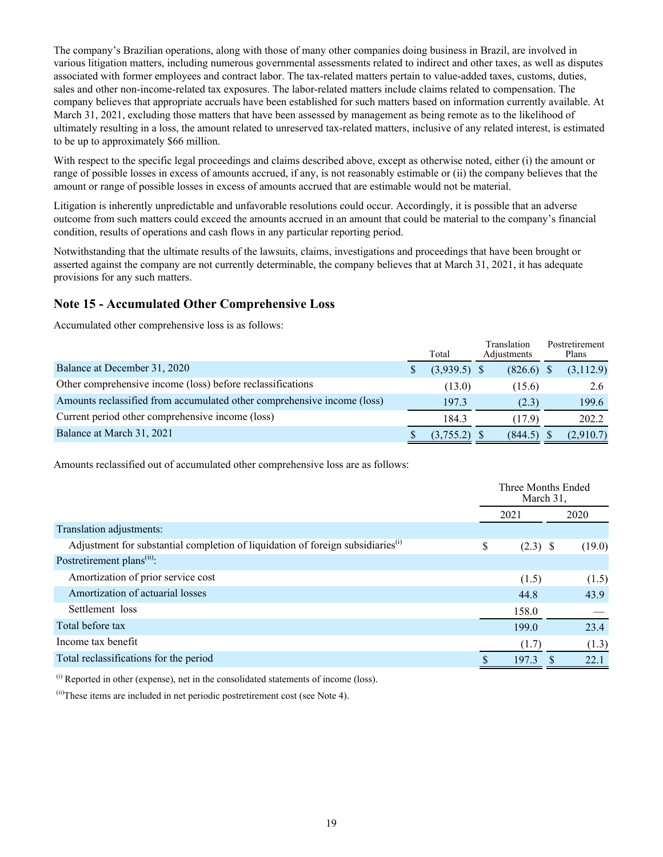The company's Brazilian operations, along with those of many other companies doing business in Brazil, are involved in various litigation matters, including numerous governmental assessments related to indirect and other taxes, as well as disputes associated with former employees and contract labor. The tax-related matters pertain to value-added taxes, customs, duties, sales and other non-income-related tax exposures. The labor-related matters include claims related to compensation. The company believes that appropriate accruals have been established for such matters based on information currently available. At March 31, 2021, excluding those matters that have been assessed by management as being remote as to the likelihood of ultimately resulting in a loss, the amount related to unreserved tax-related matters, inclusive of any related interest, is estimated to be up to approximately \$66 million.

With respect to the specific legal proceedings and claims described above, except as otherwise noted, either (i) the amount or range of possible losses in excess of amounts accrued, if any, is not reasonably estimable or (ii) the company believes that the amount or range of possible losses in excess of amounts accrued that are estimable would not be material.

Litigation is inherently unpredictable and unfavorable resolutions could occur. Accordingly, it is possible that an adverse outcome from such matters could exceed the amounts accrued in an amount that could be material to the company's financial condition, results of operations and cash flows in any particular reporting period.

Notwithstanding that the ultimate results of the lawsuits, claims, investigations and proceedings that have been brought or asserted against the company are not currently determinable, the company believes that at March 31, 2021, it has adequate provisions for any such matters.

### **Note 15 - Accumulated Other Comprehensive Loss**

Accumulated other comprehensive loss is as follows:

|                                                                         | Total     | Translation<br>Adjustments |  | Postretirement<br>Plans |
|-------------------------------------------------------------------------|-----------|----------------------------|--|-------------------------|
| Balance at December 31, 2020                                            | (3,939.5) | $(826.6)$ \$               |  | (3,112.9)               |
| Other comprehensive income (loss) before reclassifications              | (13.0)    | (15.6)                     |  | 2.6                     |
| Amounts reclassified from accumulated other comprehensive income (loss) | 197.3     | (2.3)                      |  | 199.6                   |
| Current period other comprehensive income (loss)                        | 184.3     | (17.9)                     |  | 202.2                   |
| Balance at March 31, 2021                                               | (3,755.2) | (844.5)                    |  | (2,910.7)               |

Amounts reclassified out of accumulated other comprehensive loss are as follows:

|                                                                                             | Three Months Ended<br>March 31, |            |  |        |
|---------------------------------------------------------------------------------------------|---------------------------------|------------|--|--------|
|                                                                                             |                                 | 2021       |  | 2020   |
| Translation adjustments:                                                                    |                                 |            |  |        |
| Adjustment for substantial completion of liquidation of foreign subsidiaries <sup>(1)</sup> | \$                              | $(2.3)$ \$ |  | (19.0) |
| Postretirement plans <sup>(ii)</sup> :                                                      |                                 |            |  |        |
| Amortization of prior service cost                                                          |                                 | (1.5)      |  | (1.5)  |
| Amortization of actuarial losses                                                            |                                 | 44.8       |  | 43.9   |
| Settlement loss                                                                             |                                 | 158.0      |  |        |
| Total before tax                                                                            |                                 | 199.0      |  | 23.4   |
| Income tax benefit                                                                          |                                 | (1.7)      |  | (1.3)  |
| Total reclassifications for the period                                                      |                                 | 197.3      |  | 22.1   |

 $<sup>(i)</sup>$  Reported in other (expense), net in the consolidated statements of income (loss).</sup>

 $<sup>(ii)</sup>$ These items are included in net periodic postretirement cost (see Note 4).</sup>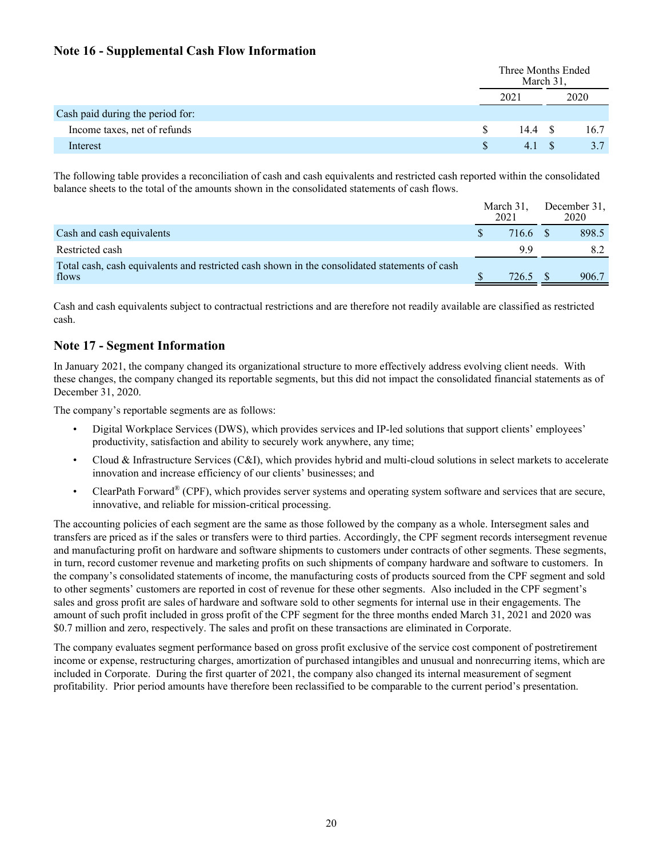### **Note 16 - Supplemental Cash Flow Information**

|                                  | Three Months Ended<br>March 31. |  |      |  |  |  |
|----------------------------------|---------------------------------|--|------|--|--|--|
|                                  | 2021                            |  | 2020 |  |  |  |
| Cash paid during the period for: |                                 |  |      |  |  |  |
| Income taxes, net of refunds     | \$<br>14.4 S                    |  | 16.7 |  |  |  |
| Interest                         | \$<br>4.1                       |  | 3.7  |  |  |  |

The following table provides a reconciliation of cash and cash equivalents and restricted cash reported within the consolidated balance sheets to the total of the amounts shown in the consolidated statements of cash flows.

|                                                                                                        | March 31.<br>2021 | December 31.<br>2020 |       |  |
|--------------------------------------------------------------------------------------------------------|-------------------|----------------------|-------|--|
| Cash and cash equivalents                                                                              | 716.6 \$          |                      | 898.5 |  |
| Restricted cash                                                                                        | 99                |                      |       |  |
| Total cash, cash equivalents and restricted cash shown in the consolidated statements of cash<br>flows | 726.5             |                      | 906.7 |  |

Cash and cash equivalents subject to contractual restrictions and are therefore not readily available are classified as restricted cash.

### **Note 17 - Segment Information**

In January 2021, the company changed its organizational structure to more effectively address evolving client needs. With these changes, the company changed its reportable segments, but this did not impact the consolidated financial statements as of December 31, 2020.

The company's reportable segments are as follows:

- Digital Workplace Services (DWS), which provides services and IP-led solutions that support clients' employees' productivity, satisfaction and ability to securely work anywhere, any time;
- Cloud & Infrastructure Services (C&I), which provides hybrid and multi-cloud solutions in select markets to accelerate innovation and increase efficiency of our clients' businesses; and
- ClearPath Forward<sup>®</sup> (CPF), which provides server systems and operating system software and services that are secure, innovative, and reliable for mission-critical processing.

The accounting policies of each segment are the same as those followed by the company as a whole. Intersegment sales and transfers are priced as if the sales or transfers were to third parties. Accordingly, the CPF segment records intersegment revenue and manufacturing profit on hardware and software shipments to customers under contracts of other segments. These segments, in turn, record customer revenue and marketing profits on such shipments of company hardware and software to customers. In the company's consolidated statements of income, the manufacturing costs of products sourced from the CPF segment and sold to other segments' customers are reported in cost of revenue for these other segments. Also included in the CPF segment's sales and gross profit are sales of hardware and software sold to other segments for internal use in their engagements. The amount of such profit included in gross profit of the CPF segment for the three months ended March 31, 2021 and 2020 was \$0.7 million and zero, respectively. The sales and profit on these transactions are eliminated in Corporate.

The company evaluates segment performance based on gross profit exclusive of the service cost component of postretirement income or expense, restructuring charges, amortization of purchased intangibles and unusual and nonrecurring items, which are included in Corporate. During the first quarter of 2021, the company also changed its internal measurement of segment profitability. Prior period amounts have therefore been reclassified to be comparable to the current period's presentation.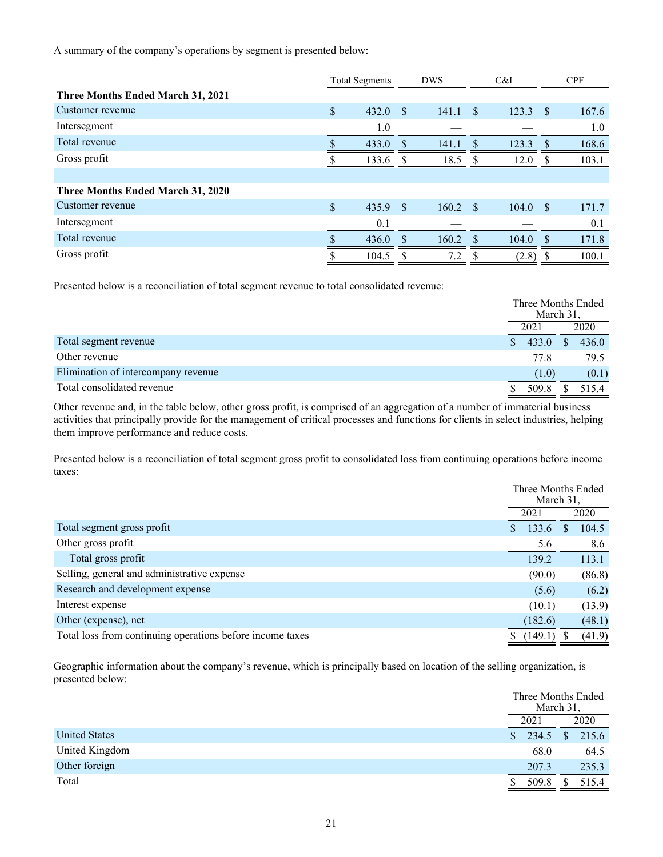A summary of the company's operations by segment is presented below:

|                                   |              | <b>Total Segments</b> |     | <b>DWS</b> | C&I           |       |               | <b>CPF</b> |
|-----------------------------------|--------------|-----------------------|-----|------------|---------------|-------|---------------|------------|
| Three Months Ended March 31, 2021 |              |                       |     |            |               |       |               |            |
| Customer revenue                  | \$           | 432.0                 | -\$ | 141.1      | <sup>\$</sup> | 123.3 | <sup>\$</sup> | 167.6      |
| Intersegment                      |              | 1.0                   |     |            |               |       |               | 1.0        |
| Total revenue                     |              | 433.0                 |     | 141.1      |               | 123.3 |               | 168.6      |
| Gross profit                      |              | 133.6                 | S   | 18.5       |               | 12.0  | -S            | 103.1      |
|                                   |              |                       |     |            |               |       |               |            |
| Three Months Ended March 31, 2020 |              |                       |     |            |               |       |               |            |
| Customer revenue                  | $\mathbb{S}$ | 435.9 \$              |     | 160.2      | - \$          | 104.0 | <sup>\$</sup> | 171.7      |
| Intersegment                      |              | 0.1                   |     |            |               |       |               | 0.1        |
| Total revenue                     |              | 436.0                 |     | 160.2      |               | 104.0 | S.            | 171.8      |
| Gross profit                      |              | 104.5                 | S   | 7.2        |               | (2.8) | -S            | 100.1      |

Presented below is a reconciliation of total segment revenue to total consolidated revenue:

|                                     | Three Months Ended<br>March 31, |       |      |       |  |  |
|-------------------------------------|---------------------------------|-------|------|-------|--|--|
|                                     |                                 | 2021  | 2020 |       |  |  |
| Total segment revenue               | <sup>S</sup>                    | 433.0 |      | 436.0 |  |  |
| Other revenue                       |                                 | 77.8  |      | 79.5  |  |  |
| Elimination of intercompany revenue |                                 | (1.0) |      | (0.1) |  |  |
| Total consolidated revenue          |                                 | 509.8 |      | 515.4 |  |  |

Other revenue and, in the table below, other gross profit, is comprised of an aggregation of a number of immaterial business activities that principally provide for the management of critical processes and functions for clients in select industries, helping them improve performance and reduce costs.

Presented below is a reconciliation of total segment gross profit to consolidated loss from continuing operations before income taxes:

|                                                           | Three Months Ended<br>March 31. |        |  |
|-----------------------------------------------------------|---------------------------------|--------|--|
|                                                           | 2021                            | 2020   |  |
| Total segment gross profit                                | 133.6                           | 104.5  |  |
| Other gross profit                                        | 5.6                             | 8.6    |  |
| Total gross profit                                        | 139.2                           | 113.1  |  |
| Selling, general and administrative expense               | (90.0)                          | (86.8) |  |
| Research and development expense                          | (5.6)                           | (6.2)  |  |
| Interest expense                                          | (10.1)                          | (13.9) |  |
| Other (expense), net                                      | (182.6)                         | (48.1) |  |
| Total loss from continuing operations before income taxes | (149.1)<br>S                    | (41.9) |  |

Geographic information about the company's revenue, which is principally based on location of the selling organization, is presented below:

|                      | Three Months Ended<br>March 31, |                    |              |       |
|----------------------|---------------------------------|--------------------|--------------|-------|
|                      | 2021                            |                    |              | 2020  |
| <b>United States</b> |                                 | $\frac{\$}{234.5}$ | $\mathbb{S}$ | 215.6 |
| United Kingdom       |                                 | 68.0               |              | 64.5  |
| Other foreign        |                                 | 207.3              |              | 235.3 |
| Total                |                                 | 509.8              |              | 515.4 |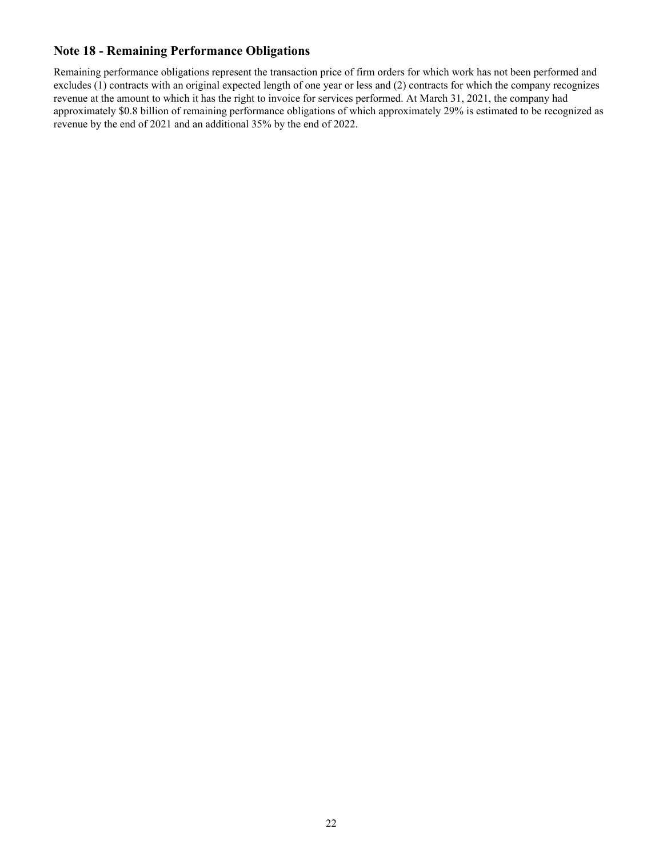### **Note 18 - Remaining Performance Obligations**

Remaining performance obligations represent the transaction price of firm orders for which work has not been performed and excludes (1) contracts with an original expected length of one year or less and (2) contracts for which the company recognizes revenue at the amount to which it has the right to invoice for services performed. At March 31, 2021, the company had approximately \$0.8 billion of remaining performance obligations of which approximately 29% is estimated to be recognized as revenue by the end of 2021 and an additional 35% by the end of 2022.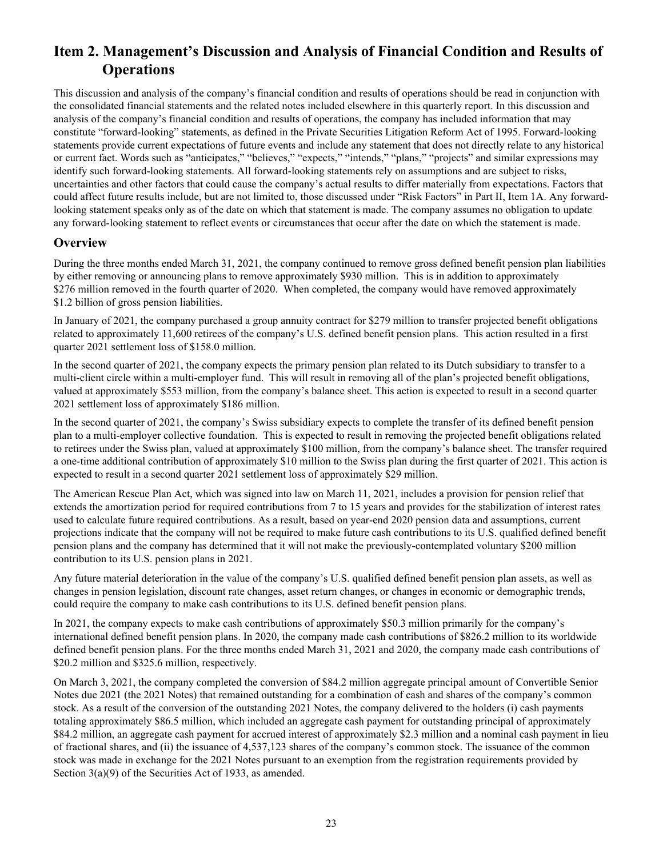# <span id="page-23-0"></span>**Item 2. Management's Discussion and Analysis of Financial Condition and Results of Operations**

This discussion and analysis of the company's financial condition and results of operations should be read in conjunction with the consolidated financial statements and the related notes included elsewhere in this quarterly report. In this discussion and analysis of the company's financial condition and results of operations, the company has included information that may constitute "forward-looking" statements, as defined in the Private Securities Litigation Reform Act of 1995. Forward-looking statements provide current expectations of future events and include any statement that does not directly relate to any historical or current fact. Words such as "anticipates," "believes," "expects," "intends," "plans," "projects" and similar expressions may identify such forward-looking statements. All forward-looking statements rely on assumptions and are subject to risks, uncertainties and other factors that could cause the company's actual results to differ materially from expectations. Factors that could affect future results include, but are not limited to, those discussed under "Risk Factors" in Part II, Item 1A. Any forwardlooking statement speaks only as of the date on which that statement is made. The company assumes no obligation to update any forward-looking statement to reflect events or circumstances that occur after the date on which the statement is made.

### **Overview**

During the three months ended March 31, 2021, the company continued to remove gross defined benefit pension plan liabilities by either removing or announcing plans to remove approximately \$930 million. This is in addition to approximately \$276 million removed in the fourth quarter of 2020. When completed, the company would have removed approximately \$1.2 billion of gross pension liabilities.

In January of 2021, the company purchased a group annuity contract for \$279 million to transfer projected benefit obligations related to approximately 11,600 retirees of the company's U.S. defined benefit pension plans. This action resulted in a first quarter 2021 settlement loss of \$158.0 million.

In the second quarter of 2021, the company expects the primary pension plan related to its Dutch subsidiary to transfer to a multi-client circle within a multi-employer fund. This will result in removing all of the plan's projected benefit obligations, valued at approximately \$553 million, from the company's balance sheet. This action is expected to result in a second quarter 2021 settlement loss of approximately \$186 million.

In the second quarter of 2021, the company's Swiss subsidiary expects to complete the transfer of its defined benefit pension plan to a multi-employer collective foundation. This is expected to result in removing the projected benefit obligations related to retirees under the Swiss plan, valued at approximately \$100 million, from the company's balance sheet. The transfer required a one-time additional contribution of approximately \$10 million to the Swiss plan during the first quarter of 2021. This action is expected to result in a second quarter 2021 settlement loss of approximately \$29 million.

The American Rescue Plan Act, which was signed into law on March 11, 2021, includes a provision for pension relief that extends the amortization period for required contributions from 7 to 15 years and provides for the stabilization of interest rates used to calculate future required contributions. As a result, based on year-end 2020 pension data and assumptions, current projections indicate that the company will not be required to make future cash contributions to its U.S. qualified defined benefit pension plans and the company has determined that it will not make the previously-contemplated voluntary \$200 million contribution to its U.S. pension plans in 2021.

Any future material deterioration in the value of the company's U.S. qualified defined benefit pension plan assets, as well as changes in pension legislation, discount rate changes, asset return changes, or changes in economic or demographic trends, could require the company to make cash contributions to its U.S. defined benefit pension plans.

In 2021, the company expects to make cash contributions of approximately \$50.3 million primarily for the company's international defined benefit pension plans. In 2020, the company made cash contributions of \$826.2 million to its worldwide defined benefit pension plans. For the three months ended March 31, 2021 and 2020, the company made cash contributions of \$20.2 million and \$325.6 million, respectively.

On March 3, 2021, the company completed the conversion of \$84.2 million aggregate principal amount of Convertible Senior Notes due 2021 (the 2021 Notes) that remained outstanding for a combination of cash and shares of the company's common stock. As a result of the conversion of the outstanding 2021 Notes, the company delivered to the holders (i) cash payments totaling approximately \$86.5 million, which included an aggregate cash payment for outstanding principal of approximately \$84.2 million, an aggregate cash payment for accrued interest of approximately \$2.3 million and a nominal cash payment in lieu of fractional shares, and (ii) the issuance of 4,537,123 shares of the company's common stock. The issuance of the common stock was made in exchange for the 2021 Notes pursuant to an exemption from the registration requirements provided by Section 3(a)(9) of the Securities Act of 1933, as amended.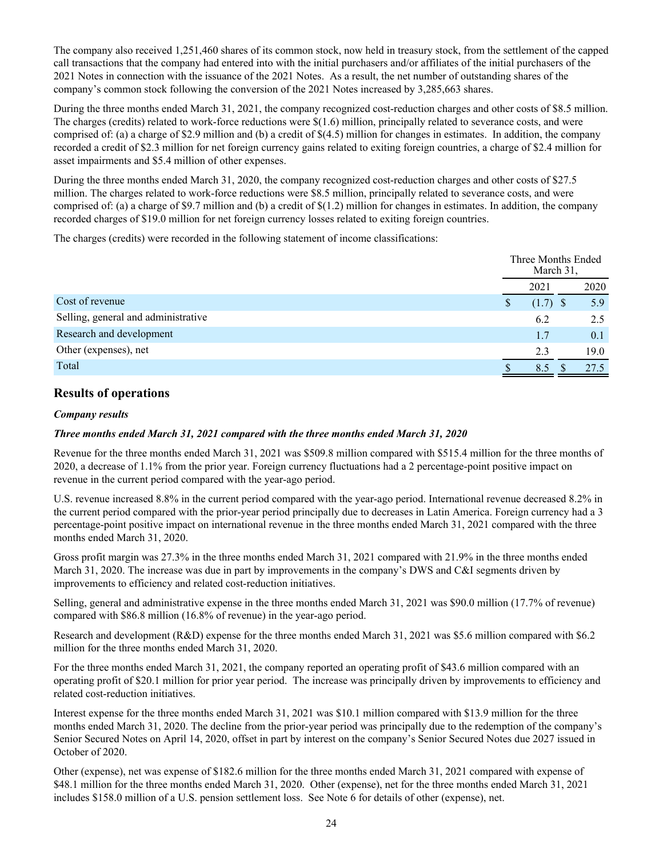The company also received 1,251,460 shares of its common stock, now held in treasury stock, from the settlement of the capped call transactions that the company had entered into with the initial purchasers and/or affiliates of the initial purchasers of the 2021 Notes in connection with the issuance of the 2021 Notes. As a result, the net number of outstanding shares of the company's common stock following the conversion of the 2021 Notes increased by 3,285,663 shares.

During the three months ended March 31, 2021, the company recognized cost-reduction charges and other costs of \$8.5 million. The charges (credits) related to work-force reductions were \$(1.6) million, principally related to severance costs, and were comprised of: (a) a charge of \$2.9 million and (b) a credit of \$(4.5) million for changes in estimates. In addition, the company recorded a credit of \$2.3 million for net foreign currency gains related to exiting foreign countries, a charge of \$2.4 million for asset impairments and \$5.4 million of other expenses.

During the three months ended March 31, 2020, the company recognized cost-reduction charges and other costs of \$27.5 million. The charges related to work-force reductions were \$8.5 million, principally related to severance costs, and were comprised of: (a) a charge of \$9.7 million and (b) a credit of  $\S(1.2)$  million for changes in estimates. In addition, the company recorded charges of \$19.0 million for net foreign currency losses related to exiting foreign countries.

The charges (credits) were recorded in the following statement of income classifications:

| Three Months Ended<br>March 31, |       |  |      |
|---------------------------------|-------|--|------|
|                                 | 2021  |  | 2020 |
|                                 | (1.7) |  | 5.9  |
|                                 | 6.2   |  | 2.5  |
|                                 | 1.7   |  | 0.1  |
|                                 | 2.3   |  | 19.0 |
|                                 | 8.5   |  | 27.5 |
|                                 |       |  | - \$ |

### **Results of operations**

#### *Company results*

#### *Three months ended March 31, 2021 compared with the three months ended March 31, 2020*

Revenue for the three months ended March 31, 2021 was \$509.8 million compared with \$515.4 million for the three months of 2020, a decrease of 1.1% from the prior year. Foreign currency fluctuations had a 2 percentage-point positive impact on revenue in the current period compared with the year-ago period.

U.S. revenue increased 8.8% in the current period compared with the year-ago period. International revenue decreased 8.2% in the current period compared with the prior-year period principally due to decreases in Latin America. Foreign currency had a 3 percentage-point positive impact on international revenue in the three months ended March 31, 2021 compared with the three months ended March 31, 2020.

Gross profit margin was 27.3% in the three months ended March 31, 2021 compared with 21.9% in the three months ended March 31, 2020. The increase was due in part by improvements in the company's DWS and C&I segments driven by improvements to efficiency and related cost-reduction initiatives.

Selling, general and administrative expense in the three months ended March 31, 2021 was \$90.0 million (17.7% of revenue) compared with \$86.8 million (16.8% of revenue) in the year-ago period.

Research and development (R&D) expense for the three months ended March 31, 2021 was \$5.6 million compared with \$6.2 million for the three months ended March 31, 2020.

For the three months ended March 31, 2021, the company reported an operating profit of \$43.6 million compared with an operating profit of \$20.1 million for prior year period. The increase was principally driven by improvements to efficiency and related cost-reduction initiatives.

Interest expense for the three months ended March 31, 2021 was \$10.1 million compared with \$13.9 million for the three months ended March 31, 2020. The decline from the prior-year period was principally due to the redemption of the company's Senior Secured Notes on April 14, 2020, offset in part by interest on the company's Senior Secured Notes due 2027 issued in October of 2020.

Other (expense), net was expense of \$182.6 million for the three months ended March 31, 2021 compared with expense of \$48.1 million for the three months ended March 31, 2020. Other (expense), net for the three months ended March 31, 2021 includes \$158.0 million of a U.S. pension settlement loss. See Note 6 for details of other (expense), net.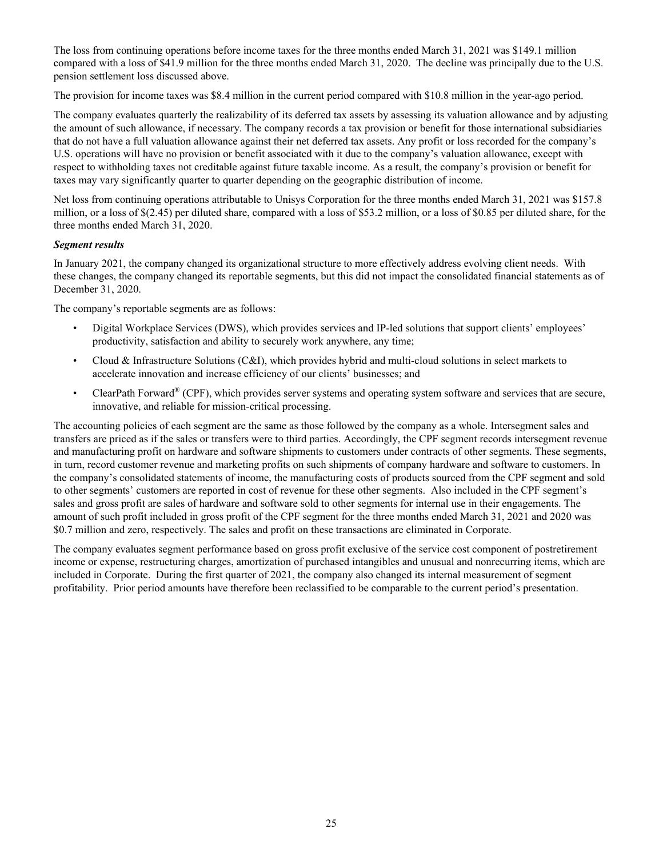The loss from continuing operations before income taxes for the three months ended March 31, 2021 was \$149.1 million compared with a loss of \$41.9 million for the three months ended March 31, 2020. The decline was principally due to the U.S. pension settlement loss discussed above.

The provision for income taxes was \$8.4 million in the current period compared with \$10.8 million in the year-ago period.

The company evaluates quarterly the realizability of its deferred tax assets by assessing its valuation allowance and by adjusting the amount of such allowance, if necessary. The company records a tax provision or benefit for those international subsidiaries that do not have a full valuation allowance against their net deferred tax assets. Any profit or loss recorded for the company's U.S. operations will have no provision or benefit associated with it due to the company's valuation allowance, except with respect to withholding taxes not creditable against future taxable income. As a result, the company's provision or benefit for taxes may vary significantly quarter to quarter depending on the geographic distribution of income.

Net loss from continuing operations attributable to Unisys Corporation for the three months ended March 31, 2021 was \$157.8 million, or a loss of \$(2.45) per diluted share, compared with a loss of \$53.2 million, or a loss of \$0.85 per diluted share, for the three months ended March 31, 2020.

#### *Segment results*

In January 2021, the company changed its organizational structure to more effectively address evolving client needs. With these changes, the company changed its reportable segments, but this did not impact the consolidated financial statements as of December 31, 2020.

The company's reportable segments are as follows:

- Digital Workplace Services (DWS), which provides services and IP-led solutions that support clients' employees' productivity, satisfaction and ability to securely work anywhere, any time;
- Cloud & Infrastructure Solutions (C&I), which provides hybrid and multi-cloud solutions in select markets to accelerate innovation and increase efficiency of our clients' businesses; and
- ClearPath Forward® (CPF), which provides server systems and operating system software and services that are secure, innovative, and reliable for mission-critical processing.

The accounting policies of each segment are the same as those followed by the company as a whole. Intersegment sales and transfers are priced as if the sales or transfers were to third parties. Accordingly, the CPF segment records intersegment revenue and manufacturing profit on hardware and software shipments to customers under contracts of other segments. These segments, in turn, record customer revenue and marketing profits on such shipments of company hardware and software to customers. In the company's consolidated statements of income, the manufacturing costs of products sourced from the CPF segment and sold to other segments' customers are reported in cost of revenue for these other segments. Also included in the CPF segment's sales and gross profit are sales of hardware and software sold to other segments for internal use in their engagements. The amount of such profit included in gross profit of the CPF segment for the three months ended March 31, 2021 and 2020 was \$0.7 million and zero, respectively. The sales and profit on these transactions are eliminated in Corporate.

The company evaluates segment performance based on gross profit exclusive of the service cost component of postretirement income or expense, restructuring charges, amortization of purchased intangibles and unusual and nonrecurring items, which are included in Corporate. During the first quarter of 2021, the company also changed its internal measurement of segment profitability. Prior period amounts have therefore been reclassified to be comparable to the current period's presentation.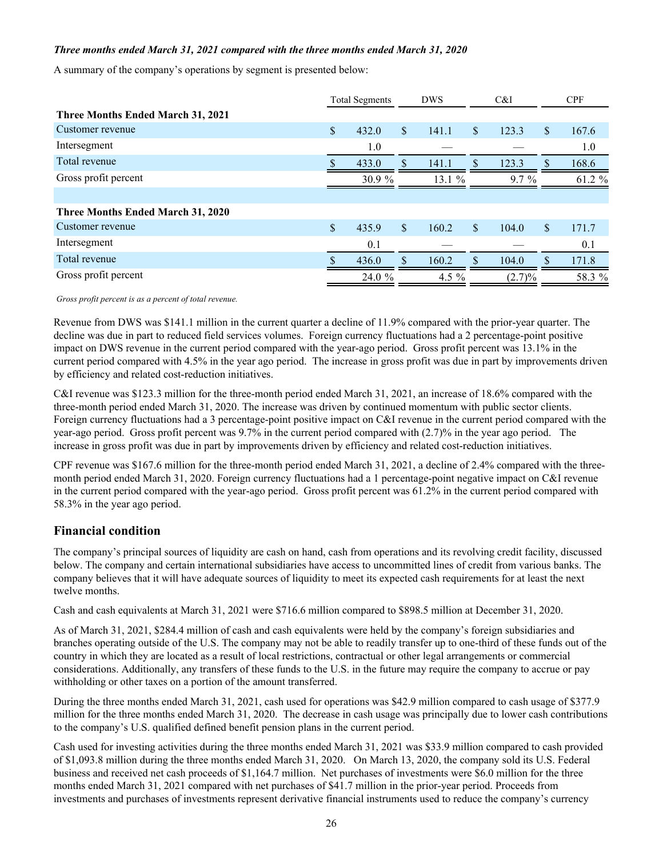#### *Three months ended March 31, 2021 compared with the three months ended March 31, 2020*

A summary of the company's operations by segment is presented below:

|                                   |               | <b>Total Segments</b> |               | <b>DWS</b> | C&I          |         | <b>CPF</b>   |        |
|-----------------------------------|---------------|-----------------------|---------------|------------|--------------|---------|--------------|--------|
| Three Months Ended March 31, 2021 |               |                       |               |            |              |         |              |        |
| Customer revenue                  | $\mathbf{\$}$ | 432.0                 | \$.           | 141.1      | <sup>S</sup> | 123.3   | \$           | 167.6  |
| Intersegment                      |               | 1.0                   |               |            |              |         |              | 1.0    |
| Total revenue                     |               | 433.0                 |               | 141.1      |              | 123.3   | \$           | 168.6  |
| Gross profit percent              |               | 30.9%                 |               | 13.1 $%$   |              | $9.7\%$ |              | 61.2 % |
|                                   |               |                       |               |            |              |         |              |        |
| Three Months Ended March 31, 2020 |               |                       |               |            |              |         |              |        |
| Customer revenue                  | $\mathbf{\$}$ | 435.9                 | $\mathcal{S}$ | 160.2      | \$.          | 104.0   | $\mathbb{S}$ | 171.7  |
| Intersegment                      |               | 0.1                   |               |            |              |         |              | 0.1    |
| Total revenue                     |               | 436.0                 |               | 160.2      |              | 104.0   | \$           | 171.8  |
| Gross profit percent              |               | 24.0 %                |               | 4.5 $%$    |              | (2.7)%  |              | 58.3 % |

*Gross profit percent is as a percent of total revenue.*

Revenue from DWS was \$141.1 million in the current quarter a decline of 11.9% compared with the prior-year quarter. The decline was due in part to reduced field services volumes. Foreign currency fluctuations had a 2 percentage-point positive impact on DWS revenue in the current period compared with the year-ago period. Gross profit percent was 13.1% in the current period compared with 4.5% in the year ago period. The increase in gross profit was due in part by improvements driven by efficiency and related cost-reduction initiatives.

C&I revenue was \$123.3 million for the three-month period ended March 31, 2021, an increase of 18.6% compared with the three-month period ended March 31, 2020. The increase was driven by continued momentum with public sector clients. Foreign currency fluctuations had a 3 percentage-point positive impact on C&I revenue in the current period compared with the year-ago period. Gross profit percent was 9.7% in the current period compared with (2.7)% in the year ago period. The increase in gross profit was due in part by improvements driven by efficiency and related cost-reduction initiatives.

CPF revenue was \$167.6 million for the three-month period ended March 31, 2021, a decline of 2.4% compared with the threemonth period ended March 31, 2020. Foreign currency fluctuations had a 1 percentage-point negative impact on C&I revenue in the current period compared with the year-ago period. Gross profit percent was 61.2% in the current period compared with 58.3% in the year ago period.

### **Financial condition**

The company's principal sources of liquidity are cash on hand, cash from operations and its revolving credit facility, discussed below. The company and certain international subsidiaries have access to uncommitted lines of credit from various banks. The company believes that it will have adequate sources of liquidity to meet its expected cash requirements for at least the next twelve months.

Cash and cash equivalents at March 31, 2021 were \$716.6 million compared to \$898.5 million at December 31, 2020.

As of March 31, 2021, \$284.4 million of cash and cash equivalents were held by the company's foreign subsidiaries and branches operating outside of the U.S. The company may not be able to readily transfer up to one-third of these funds out of the country in which they are located as a result of local restrictions, contractual or other legal arrangements or commercial considerations. Additionally, any transfers of these funds to the U.S. in the future may require the company to accrue or pay withholding or other taxes on a portion of the amount transferred.

During the three months ended March 31, 2021, cash used for operations was \$42.9 million compared to cash usage of \$377.9 million for the three months ended March 31, 2020. The decrease in cash usage was principally due to lower cash contributions to the company's U.S. qualified defined benefit pension plans in the current period.

Cash used for investing activities during the three months ended March 31, 2021 was \$33.9 million compared to cash provided of \$1,093.8 million during the three months ended March 31, 2020. On March 13, 2020, the company sold its U.S. Federal business and received net cash proceeds of \$1,164.7 million. Net purchases of investments were \$6.0 million for the three months ended March 31, 2021 compared with net purchases of \$41.7 million in the prior-year period. Proceeds from investments and purchases of investments represent derivative financial instruments used to reduce the company's currency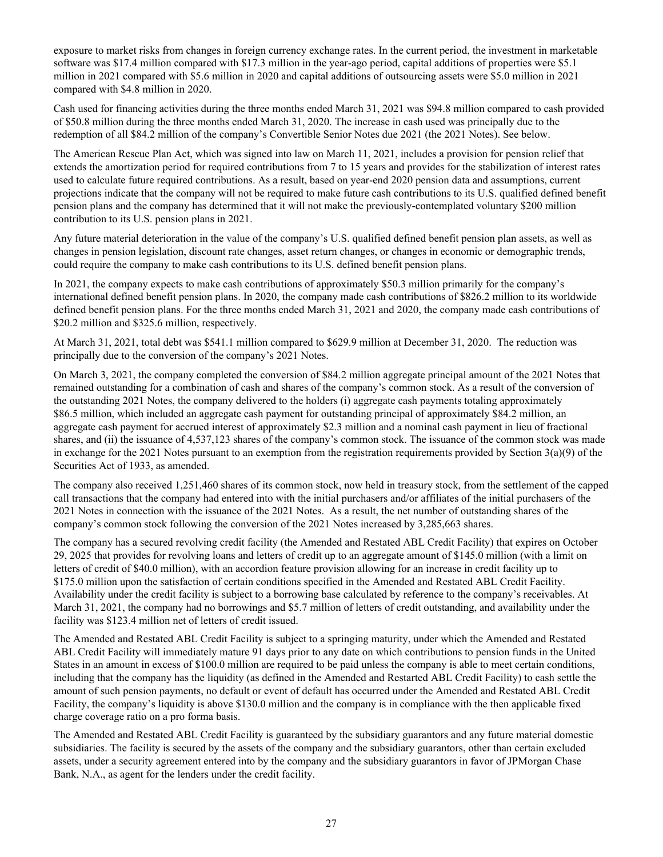exposure to market risks from changes in foreign currency exchange rates. In the current period, the investment in marketable software was \$17.4 million compared with \$17.3 million in the year-ago period, capital additions of properties were \$5.1 million in 2021 compared with \$5.6 million in 2020 and capital additions of outsourcing assets were \$5.0 million in 2021 compared with \$4.8 million in 2020.

Cash used for financing activities during the three months ended March 31, 2021 was \$94.8 million compared to cash provided of \$50.8 million during the three months ended March 31, 2020. The increase in cash used was principally due to the redemption of all \$84.2 million of the company's Convertible Senior Notes due 2021 (the 2021 Notes). See below.

The American Rescue Plan Act, which was signed into law on March 11, 2021, includes a provision for pension relief that extends the amortization period for required contributions from 7 to 15 years and provides for the stabilization of interest rates used to calculate future required contributions. As a result, based on year-end 2020 pension data and assumptions, current projections indicate that the company will not be required to make future cash contributions to its U.S. qualified defined benefit pension plans and the company has determined that it will not make the previously-contemplated voluntary \$200 million contribution to its U.S. pension plans in 2021.

Any future material deterioration in the value of the company's U.S. qualified defined benefit pension plan assets, as well as changes in pension legislation, discount rate changes, asset return changes, or changes in economic or demographic trends, could require the company to make cash contributions to its U.S. defined benefit pension plans.

In 2021, the company expects to make cash contributions of approximately \$50.3 million primarily for the company's international defined benefit pension plans. In 2020, the company made cash contributions of \$826.2 million to its worldwide defined benefit pension plans. For the three months ended March 31, 2021 and 2020, the company made cash contributions of \$20.2 million and \$325.6 million, respectively.

At March 31, 2021, total debt was \$541.1 million compared to \$629.9 million at December 31, 2020. The reduction was principally due to the conversion of the company's 2021 Notes.

On March 3, 2021, the company completed the conversion of \$84.2 million aggregate principal amount of the 2021 Notes that remained outstanding for a combination of cash and shares of the company's common stock. As a result of the conversion of the outstanding 2021 Notes, the company delivered to the holders (i) aggregate cash payments totaling approximately \$86.5 million, which included an aggregate cash payment for outstanding principal of approximately \$84.2 million, an aggregate cash payment for accrued interest of approximately \$2.3 million and a nominal cash payment in lieu of fractional shares, and (ii) the issuance of 4,537,123 shares of the company's common stock. The issuance of the common stock was made in exchange for the 2021 Notes pursuant to an exemption from the registration requirements provided by Section 3(a)(9) of the Securities Act of 1933, as amended.

The company also received 1,251,460 shares of its common stock, now held in treasury stock, from the settlement of the capped call transactions that the company had entered into with the initial purchasers and/or affiliates of the initial purchasers of the 2021 Notes in connection with the issuance of the 2021 Notes. As a result, the net number of outstanding shares of the company's common stock following the conversion of the 2021 Notes increased by 3,285,663 shares.

The company has a secured revolving credit facility (the Amended and Restated ABL Credit Facility) that expires on October 29, 2025 that provides for revolving loans and letters of credit up to an aggregate amount of \$145.0 million (with a limit on letters of credit of \$40.0 million), with an accordion feature provision allowing for an increase in credit facility up to \$175.0 million upon the satisfaction of certain conditions specified in the Amended and Restated ABL Credit Facility. Availability under the credit facility is subject to a borrowing base calculated by reference to the company's receivables. At March 31, 2021, the company had no borrowings and \$5.7 million of letters of credit outstanding, and availability under the facility was \$123.4 million net of letters of credit issued.

The Amended and Restated ABL Credit Facility is subject to a springing maturity, under which the Amended and Restated ABL Credit Facility will immediately mature 91 days prior to any date on which contributions to pension funds in the United States in an amount in excess of \$100.0 million are required to be paid unless the company is able to meet certain conditions, including that the company has the liquidity (as defined in the Amended and Restarted ABL Credit Facility) to cash settle the amount of such pension payments, no default or event of default has occurred under the Amended and Restated ABL Credit Facility, the company's liquidity is above \$130.0 million and the company is in compliance with the then applicable fixed charge coverage ratio on a pro forma basis.

The Amended and Restated ABL Credit Facility is guaranteed by the subsidiary guarantors and any future material domestic subsidiaries. The facility is secured by the assets of the company and the subsidiary guarantors, other than certain excluded assets, under a security agreement entered into by the company and the subsidiary guarantors in favor of JPMorgan Chase Bank, N.A., as agent for the lenders under the credit facility.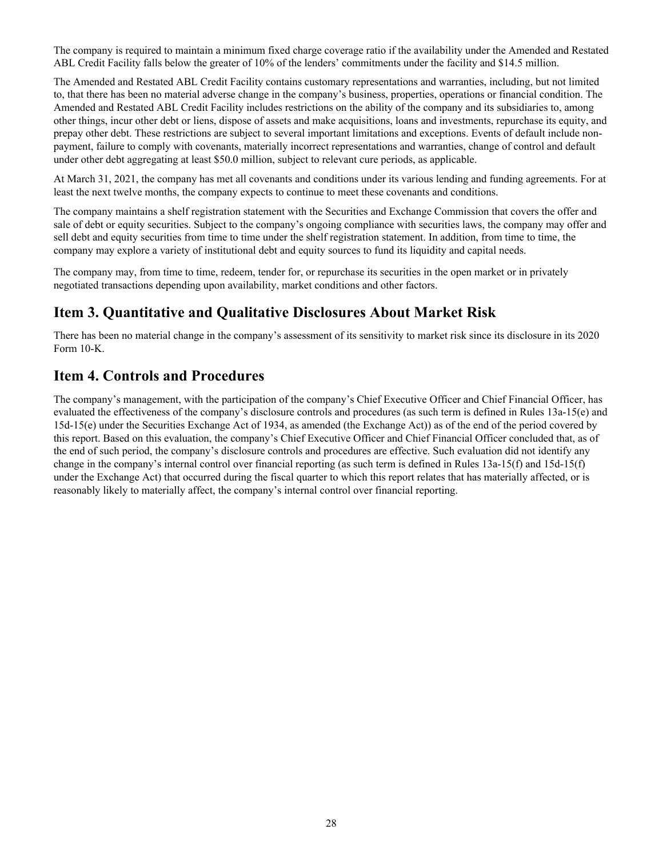<span id="page-28-0"></span>The company is required to maintain a minimum fixed charge coverage ratio if the availability under the Amended and Restated ABL Credit Facility falls below the greater of 10% of the lenders' commitments under the facility and \$14.5 million.

The Amended and Restated ABL Credit Facility contains customary representations and warranties, including, but not limited to, that there has been no material adverse change in the company's business, properties, operations or financial condition. The Amended and Restated ABL Credit Facility includes restrictions on the ability of the company and its subsidiaries to, among other things, incur other debt or liens, dispose of assets and make acquisitions, loans and investments, repurchase its equity, and prepay other debt. These restrictions are subject to several important limitations and exceptions. Events of default include nonpayment, failure to comply with covenants, materially incorrect representations and warranties, change of control and default under other debt aggregating at least \$50.0 million, subject to relevant cure periods, as applicable.

At March 31, 2021, the company has met all covenants and conditions under its various lending and funding agreements. For at least the next twelve months, the company expects to continue to meet these covenants and conditions.

The company maintains a shelf registration statement with the Securities and Exchange Commission that covers the offer and sale of debt or equity securities. Subject to the company's ongoing compliance with securities laws, the company may offer and sell debt and equity securities from time to time under the shelf registration statement. In addition, from time to time, the company may explore a variety of institutional debt and equity sources to fund its liquidity and capital needs.

The company may, from time to time, redeem, tender for, or repurchase its securities in the open market or in privately negotiated transactions depending upon availability, market conditions and other factors.

# **Item 3. Quantitative and Qualitative Disclosures About Market Risk**

There has been no material change in the company's assessment of its sensitivity to market risk since its disclosure in its 2020 Form 10-K.

# **Item 4. Controls and Procedures**

The company's management, with the participation of the company's Chief Executive Officer and Chief Financial Officer, has evaluated the effectiveness of the company's disclosure controls and procedures (as such term is defined in Rules 13a-15(e) and 15d-15(e) under the Securities Exchange Act of 1934, as amended (the Exchange Act)) as of the end of the period covered by this report. Based on this evaluation, the company's Chief Executive Officer and Chief Financial Officer concluded that, as of the end of such period, the company's disclosure controls and procedures are effective. Such evaluation did not identify any change in the company's internal control over financial reporting (as such term is defined in Rules 13a-15(f) and 15d-15(f) under the Exchange Act) that occurred during the fiscal quarter to which this report relates that has materially affected, or is reasonably likely to materially affect, the company's internal control over financial reporting.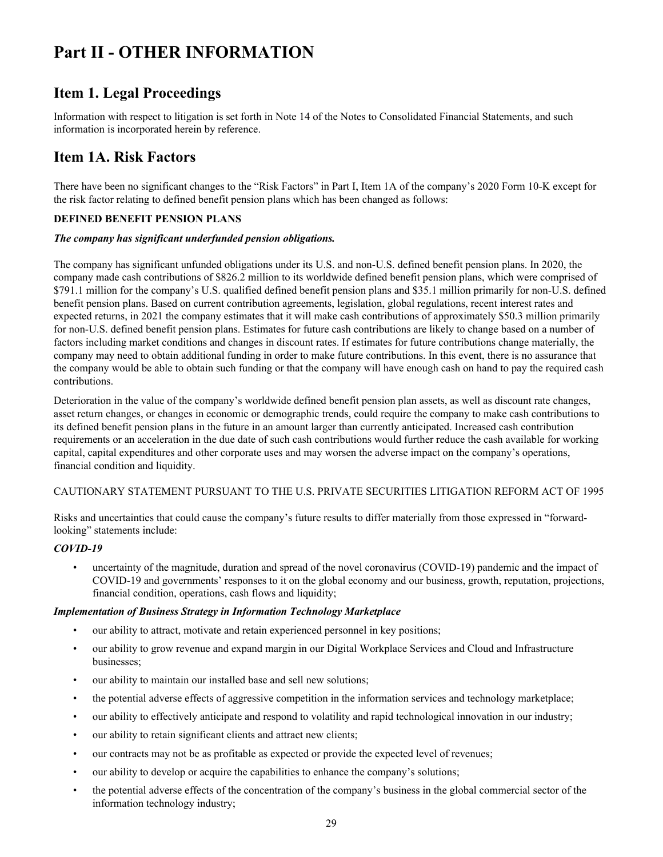# <span id="page-29-0"></span>**Part II - OTHER INFORMATION**

# **Item 1. Legal Proceedings**

Information with respect to litigation is set forth in Note 14 of the Notes to Consolidated Financial Statements, and such information is incorporated herein by reference.

# **Item 1A. Risk Factors**

There have been no significant changes to the "Risk Factors" in Part I, Item 1A of the company's 2020 Form 10-K except for the risk factor relating to defined benefit pension plans which has been changed as follows:

#### **DEFINED BENEFIT PENSION PLANS**

#### *The company has significant underfunded pension obligations.*

The company has significant unfunded obligations under its U.S. and non-U.S. defined benefit pension plans. In 2020, the company made cash contributions of \$826.2 million to its worldwide defined benefit pension plans, which were comprised of \$791.1 million for the company's U.S. qualified defined benefit pension plans and \$35.1 million primarily for non-U.S. defined benefit pension plans. Based on current contribution agreements, legislation, global regulations, recent interest rates and expected returns, in 2021 the company estimates that it will make cash contributions of approximately \$50.3 million primarily for non-U.S. defined benefit pension plans. Estimates for future cash contributions are likely to change based on a number of factors including market conditions and changes in discount rates. If estimates for future contributions change materially, the company may need to obtain additional funding in order to make future contributions. In this event, there is no assurance that the company would be able to obtain such funding or that the company will have enough cash on hand to pay the required cash contributions.

Deterioration in the value of the company's worldwide defined benefit pension plan assets, as well as discount rate changes, asset return changes, or changes in economic or demographic trends, could require the company to make cash contributions to its defined benefit pension plans in the future in an amount larger than currently anticipated. Increased cash contribution requirements or an acceleration in the due date of such cash contributions would further reduce the cash available for working capital, capital expenditures and other corporate uses and may worsen the adverse impact on the company's operations, financial condition and liquidity.

#### CAUTIONARY STATEMENT PURSUANT TO THE U.S. PRIVATE SECURITIES LITIGATION REFORM ACT OF 1995

Risks and uncertainties that could cause the company's future results to differ materially from those expressed in "forwardlooking" statements include:

#### *COVID-19*

• uncertainty of the magnitude, duration and spread of the novel coronavirus (COVID-19) pandemic and the impact of COVID-19 and governments' responses to it on the global economy and our business, growth, reputation, projections, financial condition, operations, cash flows and liquidity;

#### *Implementation of Business Strategy in Information Technology Marketplace*

- our ability to attract, motivate and retain experienced personnel in key positions;
- our ability to grow revenue and expand margin in our Digital Workplace Services and Cloud and Infrastructure businesses;
- our ability to maintain our installed base and sell new solutions;
- the potential adverse effects of aggressive competition in the information services and technology marketplace;
- our ability to effectively anticipate and respond to volatility and rapid technological innovation in our industry;
- our ability to retain significant clients and attract new clients;
- our contracts may not be as profitable as expected or provide the expected level of revenues;
- our ability to develop or acquire the capabilities to enhance the company's solutions;
- the potential adverse effects of the concentration of the company's business in the global commercial sector of the information technology industry;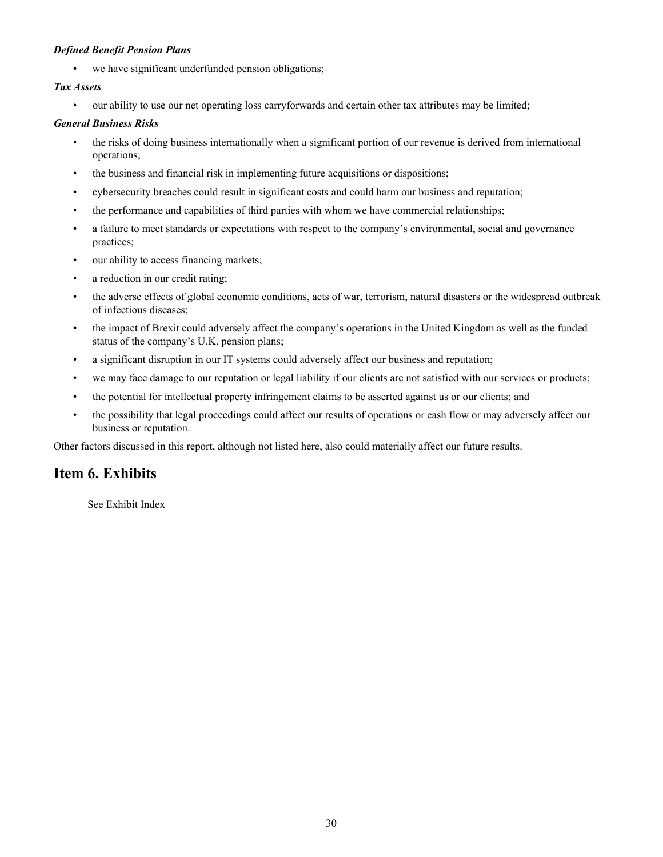#### <span id="page-30-0"></span>*Defined Benefit Pension Plans*

• we have significant underfunded pension obligations;

#### *Tax Assets*

• our ability to use our net operating loss carryforwards and certain other tax attributes may be limited;

#### *General Business Risks*

- the risks of doing business internationally when a significant portion of our revenue is derived from international operations;
- the business and financial risk in implementing future acquisitions or dispositions;
- cybersecurity breaches could result in significant costs and could harm our business and reputation;
- the performance and capabilities of third parties with whom we have commercial relationships;
- a failure to meet standards or expectations with respect to the company's environmental, social and governance practices;
- our ability to access financing markets;
- a reduction in our credit rating;
- the adverse effects of global economic conditions, acts of war, terrorism, natural disasters or the widespread outbreak of infectious diseases;
- the impact of Brexit could adversely affect the company's operations in the United Kingdom as well as the funded status of the company's U.K. pension plans;
- a significant disruption in our IT systems could adversely affect our business and reputation;
- we may face damage to our reputation or legal liability if our clients are not satisfied with our services or products;
- the potential for intellectual property infringement claims to be asserted against us or our clients; and
- the possibility that legal proceedings could affect our results of operations or cash flow or may adversely affect our business or reputation.

Other factors discussed in this report, although not listed here, also could materially affect our future results.

# **Item 6. Exhibits**

See Exhibit Index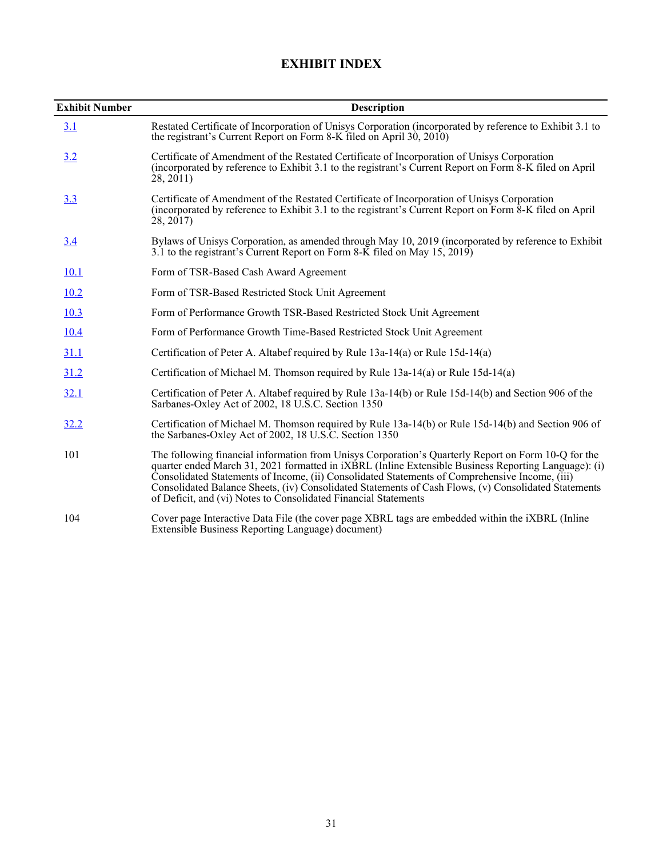# **EXHIBIT INDEX**

<span id="page-31-0"></span>

| <b>Exhibit Number</b> | <b>Description</b>                                                                                                                                                                                                                                                                                                                                                                                                                                                                              |
|-----------------------|-------------------------------------------------------------------------------------------------------------------------------------------------------------------------------------------------------------------------------------------------------------------------------------------------------------------------------------------------------------------------------------------------------------------------------------------------------------------------------------------------|
| <u>3.1</u>            | Restated Certificate of Incorporation of Unisys Corporation (incorporated by reference to Exhibit 3.1 to<br>the registrant's Current Report on Form 8-K filed on April 30, 2010)                                                                                                                                                                                                                                                                                                                |
| 3.2                   | Certificate of Amendment of the Restated Certificate of Incorporation of Unisys Corporation<br>(incorporated by reference to Exhibit 3.1 to the registrant's Current Report on Form 8-K filed on April<br>28, 2011)                                                                                                                                                                                                                                                                             |
| <u>3.3</u>            | Certificate of Amendment of the Restated Certificate of Incorporation of Unisys Corporation<br>(incorporated by reference to Exhibit 3.1 to the registrant's Current Report on Form $\&$ -K filed on April<br>28, 2017)                                                                                                                                                                                                                                                                         |
| <u>3.4</u>            | Bylaws of Unisys Corporation, as amended through May 10, 2019 (incorporated by reference to Exhibit<br>3.1 to the registrant's Current Report on Form 8-K filed on May 15, 2019)                                                                                                                                                                                                                                                                                                                |
| 10.1                  | Form of TSR-Based Cash Award Agreement                                                                                                                                                                                                                                                                                                                                                                                                                                                          |
| 10.2                  | Form of TSR-Based Restricted Stock Unit Agreement                                                                                                                                                                                                                                                                                                                                                                                                                                               |
| 10.3                  | Form of Performance Growth TSR-Based Restricted Stock Unit Agreement                                                                                                                                                                                                                                                                                                                                                                                                                            |
| 10.4                  | Form of Performance Growth Time-Based Restricted Stock Unit Agreement                                                                                                                                                                                                                                                                                                                                                                                                                           |
| 31.1                  | Certification of Peter A. Altabef required by Rule 13a-14(a) or Rule 15d-14(a)                                                                                                                                                                                                                                                                                                                                                                                                                  |
| 31.2                  | Certification of Michael M. Thomson required by Rule 13a-14(a) or Rule 15d-14(a)                                                                                                                                                                                                                                                                                                                                                                                                                |
| 32.1                  | Certification of Peter A. Altabef required by Rule 13a-14(b) or Rule 15d-14(b) and Section 906 of the<br>Sarbanes-Oxley Act of 2002, 18 U.S.C. Section 1350                                                                                                                                                                                                                                                                                                                                     |
| 32.2                  | Certification of Michael M. Thomson required by Rule 13a-14(b) or Rule 15d-14(b) and Section 906 of<br>the Sarbanes-Oxley Act of 2002, 18 U.S.C. Section 1350                                                                                                                                                                                                                                                                                                                                   |
| 101                   | The following financial information from Unisys Corporation's Quarterly Report on Form 10-Q for the<br>quarter ended March 31, 2021 formatted in <i>iXBRL</i> (Inline Extensible Business Reporting Language): (i)<br>Consolidated Statements of Income, (ii) Consolidated Statements of Comprehensive Income, (iii)<br>Consolidated Balance Sheets, (iv) Consolidated Statements of Cash Flows, (v) Consolidated Statements<br>of Deficit, and (vi) Notes to Consolidated Financial Statements |
| 104                   | Cover page Interactive Data File (the cover page XBRL tags are embedded within the <i>iXBRL</i> (Inline<br>Extensible Business Reporting Language) document)                                                                                                                                                                                                                                                                                                                                    |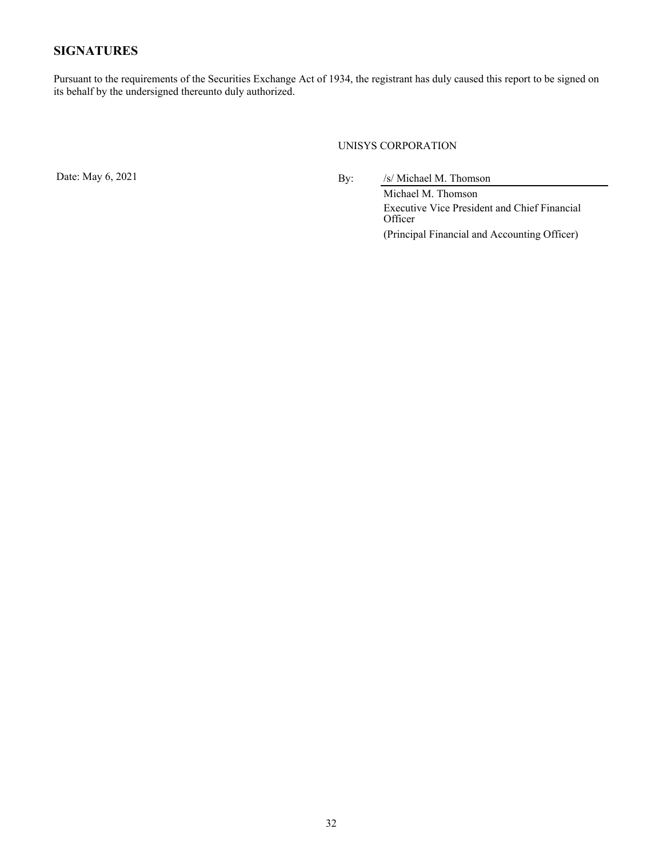# <span id="page-32-0"></span>**SIGNATURES**

Pursuant to the requirements of the Securities Exchange Act of 1934, the registrant has duly caused this report to be signed on its behalf by the undersigned thereunto duly authorized.

#### UNISYS CORPORATION

Date: May 6, 2021 By: /s/ Michael M. Thomson

Michael M. Thomson Executive Vice President and Chief Financial **Officer** (Principal Financial and Accounting Officer)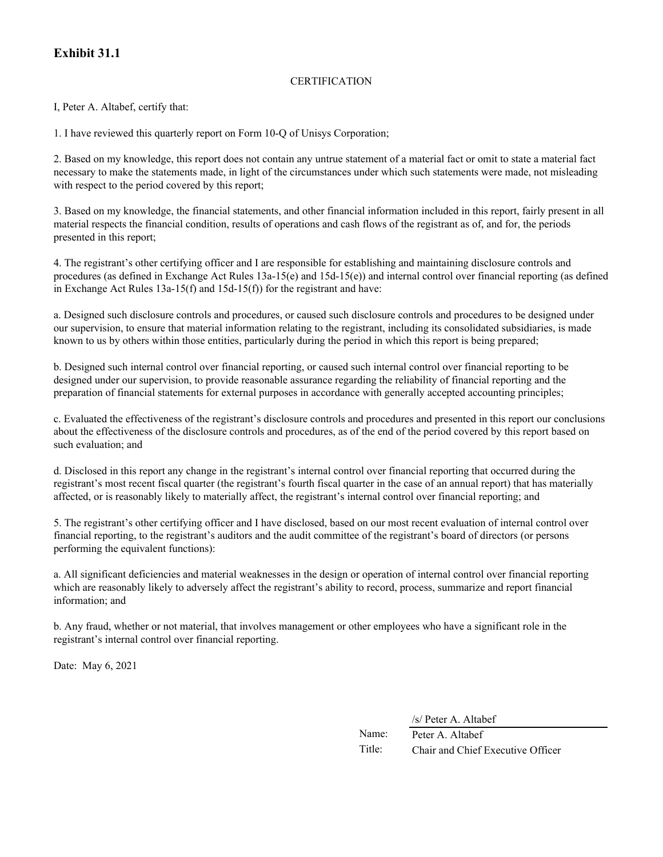# **Exhibit 31.1**

#### **CERTIFICATION**

I, Peter A. Altabef, certify that:

1. I have reviewed this quarterly report on Form 10-Q of Unisys Corporation;

2. Based on my knowledge, this report does not contain any untrue statement of a material fact or omit to state a material fact necessary to make the statements made, in light of the circumstances under which such statements were made, not misleading with respect to the period covered by this report;

3. Based on my knowledge, the financial statements, and other financial information included in this report, fairly present in all material respects the financial condition, results of operations and cash flows of the registrant as of, and for, the periods presented in this report;

4. The registrant's other certifying officer and I are responsible for establishing and maintaining disclosure controls and procedures (as defined in Exchange Act Rules 13a-15(e) and 15d-15(e)) and internal control over financial reporting (as defined in Exchange Act Rules 13a-15(f) and 15d-15(f)) for the registrant and have:

a. Designed such disclosure controls and procedures, or caused such disclosure controls and procedures to be designed under our supervision, to ensure that material information relating to the registrant, including its consolidated subsidiaries, is made known to us by others within those entities, particularly during the period in which this report is being prepared;

b. Designed such internal control over financial reporting, or caused such internal control over financial reporting to be designed under our supervision, to provide reasonable assurance regarding the reliability of financial reporting and the preparation of financial statements for external purposes in accordance with generally accepted accounting principles;

c. Evaluated the effectiveness of the registrant's disclosure controls and procedures and presented in this report our conclusions about the effectiveness of the disclosure controls and procedures, as of the end of the period covered by this report based on such evaluation; and

d. Disclosed in this report any change in the registrant's internal control over financial reporting that occurred during the registrant's most recent fiscal quarter (the registrant's fourth fiscal quarter in the case of an annual report) that has materially affected, or is reasonably likely to materially affect, the registrant's internal control over financial reporting; and

5. The registrant's other certifying officer and I have disclosed, based on our most recent evaluation of internal control over financial reporting, to the registrant's auditors and the audit committee of the registrant's board of directors (or persons performing the equivalent functions):

a. All significant deficiencies and material weaknesses in the design or operation of internal control over financial reporting which are reasonably likely to adversely affect the registrant's ability to record, process, summarize and report financial information; and

b. Any fraud, whether or not material, that involves management or other employees who have a significant role in the registrant's internal control over financial reporting.

Date: May 6, 2021

/s/ Peter A. Altabef

Name: Peter A. Altabef Title: Chair and Chief Executive Officer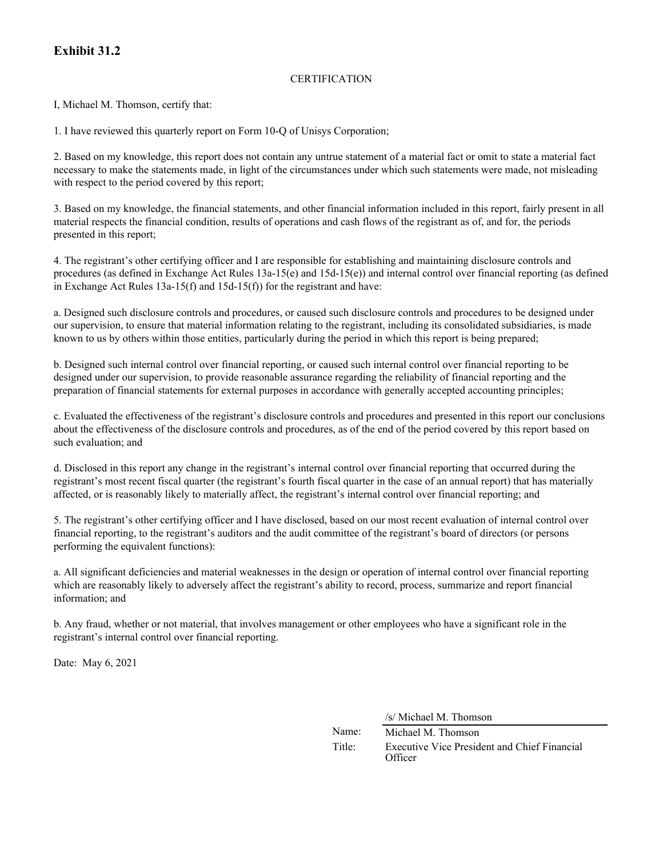# **Exhibit 31.2**

#### **CERTIFICATION**

I, Michael M. Thomson, certify that:

1. I have reviewed this quarterly report on Form 10-Q of Unisys Corporation;

2. Based on my knowledge, this report does not contain any untrue statement of a material fact or omit to state a material fact necessary to make the statements made, in light of the circumstances under which such statements were made, not misleading with respect to the period covered by this report;

3. Based on my knowledge, the financial statements, and other financial information included in this report, fairly present in all material respects the financial condition, results of operations and cash flows of the registrant as of, and for, the periods presented in this report;

4. The registrant's other certifying officer and I are responsible for establishing and maintaining disclosure controls and procedures (as defined in Exchange Act Rules 13a-15(e) and 15d-15(e)) and internal control over financial reporting (as defined in Exchange Act Rules 13a-15(f) and 15d-15(f)) for the registrant and have:

a. Designed such disclosure controls and procedures, or caused such disclosure controls and procedures to be designed under our supervision, to ensure that material information relating to the registrant, including its consolidated subsidiaries, is made known to us by others within those entities, particularly during the period in which this report is being prepared;

b. Designed such internal control over financial reporting, or caused such internal control over financial reporting to be designed under our supervision, to provide reasonable assurance regarding the reliability of financial reporting and the preparation of financial statements for external purposes in accordance with generally accepted accounting principles;

c. Evaluated the effectiveness of the registrant's disclosure controls and procedures and presented in this report our conclusions about the effectiveness of the disclosure controls and procedures, as of the end of the period covered by this report based on such evaluation; and

d. Disclosed in this report any change in the registrant's internal control over financial reporting that occurred during the registrant's most recent fiscal quarter (the registrant's fourth fiscal quarter in the case of an annual report) that has materially affected, or is reasonably likely to materially affect, the registrant's internal control over financial reporting; and

5. The registrant's other certifying officer and I have disclosed, based on our most recent evaluation of internal control over financial reporting, to the registrant's auditors and the audit committee of the registrant's board of directors (or persons performing the equivalent functions):

a. All significant deficiencies and material weaknesses in the design or operation of internal control over financial reporting which are reasonably likely to adversely affect the registrant's ability to record, process, summarize and report financial information; and

b. Any fraud, whether or not material, that involves management or other employees who have a significant role in the registrant's internal control over financial reporting.

Date: May 6, 2021

/s/ Michael M. Thomson

Name: Michael M. Thomson Title: Executive Vice President and Chief Financial **Officer**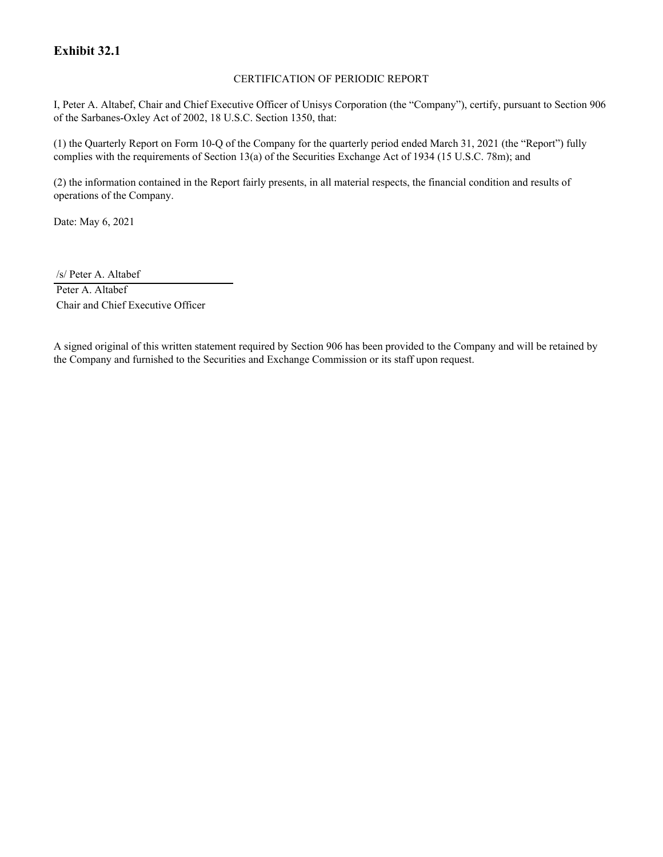# **Exhibit 32.1**

#### CERTIFICATION OF PERIODIC REPORT

I, Peter A. Altabef, Chair and Chief Executive Officer of Unisys Corporation (the "Company"), certify, pursuant to Section 906 of the Sarbanes-Oxley Act of 2002, 18 U.S.C. Section 1350, that:

(1) the Quarterly Report on Form 10-Q of the Company for the quarterly period ended March 31, 2021 (the "Report") fully complies with the requirements of Section 13(a) of the Securities Exchange Act of 1934 (15 U.S.C. 78m); and

(2) the information contained in the Report fairly presents, in all material respects, the financial condition and results of operations of the Company.

Date: May 6, 2021

/s/ Peter A. Altabef

Peter A. Altabef Chair and Chief Executive Officer

A signed original of this written statement required by Section 906 has been provided to the Company and will be retained by the Company and furnished to the Securities and Exchange Commission or its staff upon request.